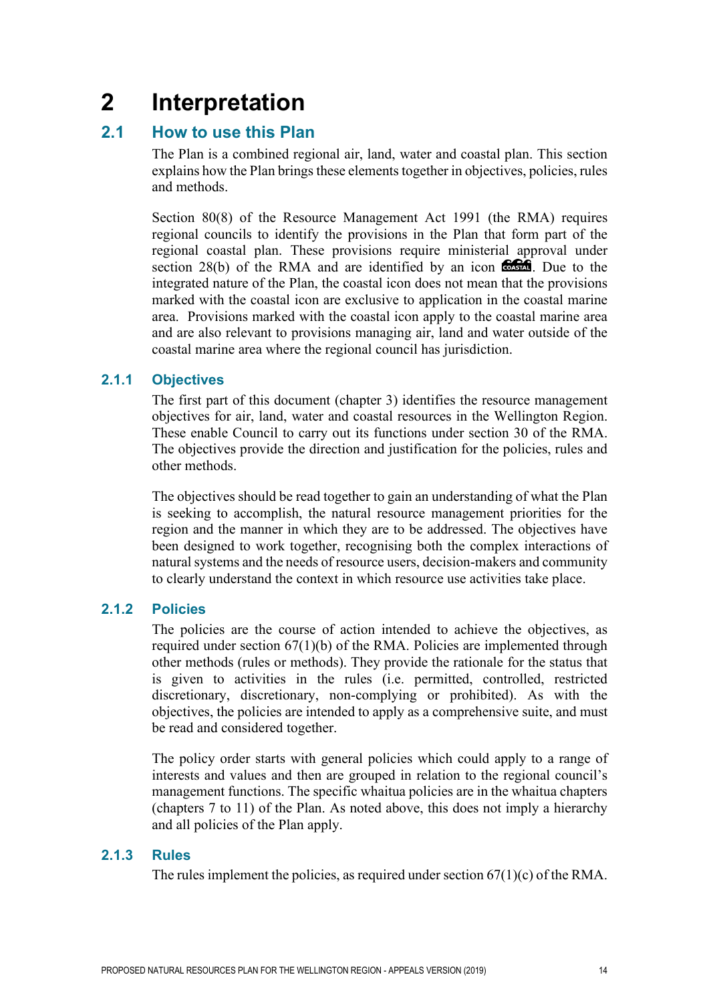# **2 Interpretation**

# **2.1 How to use this Plan**

The Plan is a combined regional air, land, water and coastal plan. This section explains how the Plan brings these elements together in objectives, policies, rules and methods.

Section 80(8) of the Resource Management Act 1991 (the RMA) requires regional councils to identify the provisions in the Plan that form part of the regional coastal plan. These provisions require ministerial approval under section 28(b) of the RMA and are identified by an icon  $\cos A$ . Due to the integrated nature of the Plan, the coastal icon does not mean that the provisions marked with the coastal icon are exclusive to application in the coastal marine area. Provisions marked with the coastal icon apply to the coastal marine area and are also relevant to provisions managing air, land and water outside of the coastal marine area where the regional council has jurisdiction.

## **2.1.1 Objectives**

The first part of this document (chapter 3) identifies the resource management objectives for air, land, water and coastal resources in the Wellington Region. These enable Council to carry out its functions under section 30 of the RMA. The objectives provide the direction and justification for the policies, rules and other methods.

The objectives should be read together to gain an understanding of what the Plan is seeking to accomplish, the natural resource management priorities for the region and the manner in which they are to be addressed. The objectives have been designed to work together, recognising both the complex interactions of natural systems and the needs of resource users, decision-makers and community to clearly understand the context in which resource use activities take place.

#### **2.1.2 Policies**

The policies are the course of action intended to achieve the objectives, as required under section 67(1)(b) of the RMA. Policies are implemented through other methods (rules or methods). They provide the rationale for the status that is given to activities in the rules (i.e. permitted, controlled, restricted discretionary, discretionary, non-complying or prohibited). As with the objectives, the policies are intended to apply as a comprehensive suite, and must be read and considered together.

The policy order starts with general policies which could apply to a range of interests and values and then are grouped in relation to the regional council's management functions. The specific whaitua policies are in the whaitua chapters (chapters 7 to 11) of the Plan. As noted above, this does not imply a hierarchy and all policies of the Plan apply.

## **2.1.3 Rules**

The rules implement the policies, as required under section  $67(1)(c)$  of the RMA.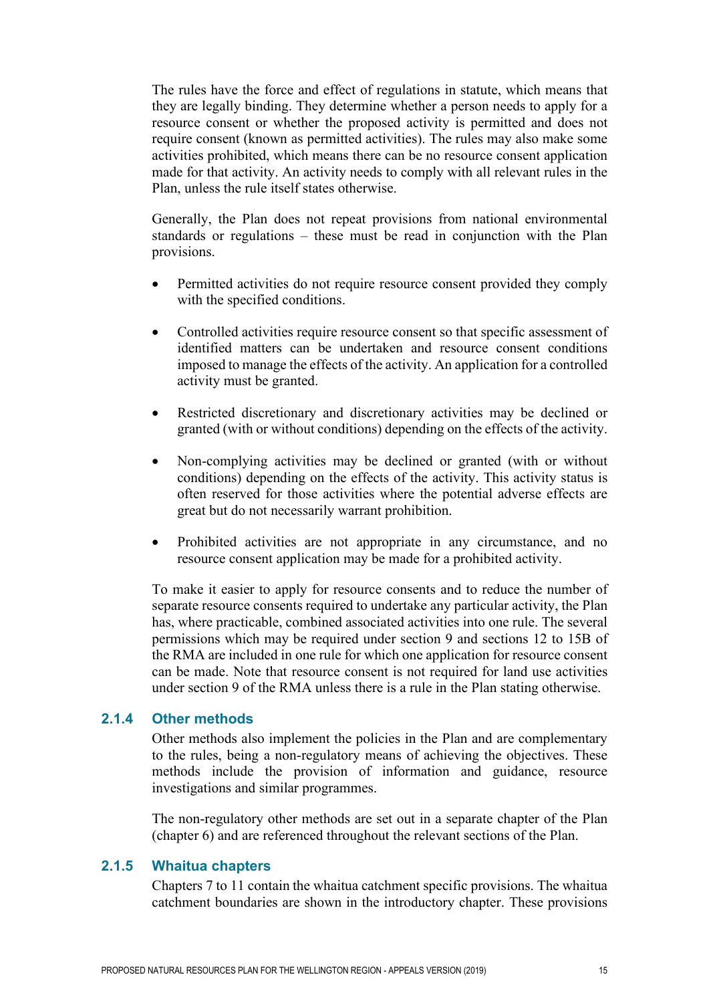The rules have the force and effect of regulations in statute, which means that they are legally binding. They determine whether a person needs to apply for a resource consent or whether the proposed activity is permitted and does not require consent (known as permitted activities). The rules may also make some activities prohibited, which means there can be no resource consent application made for that activity. An activity needs to comply with all relevant rules in the Plan, unless the rule itself states otherwise.

Generally, the Plan does not repeat provisions from national environmental standards or regulations – these must be read in conjunction with the Plan provisions.

- Permitted activities do not require resource consent provided they comply with the specified conditions.
- Controlled activities require resource consent so that specific assessment of identified matters can be undertaken and resource consent conditions imposed to manage the effects of the activity. An application for a controlled activity must be granted.
- Restricted discretionary and discretionary activities may be declined or granted (with or without conditions) depending on the effects of the activity.
- Non-complying activities may be declined or granted (with or without conditions) depending on the effects of the activity. This activity status is often reserved for those activities where the potential adverse effects are great but do not necessarily warrant prohibition.
- Prohibited activities are not appropriate in any circumstance, and no resource consent application may be made for a prohibited activity.

To make it easier to apply for resource consents and to reduce the number of separate resource consents required to undertake any particular activity, the Plan has, where practicable, combined associated activities into one rule. The several permissions which may be required under section 9 and sections 12 to 15B of the RMA are included in one rule for which one application for resource consent can be made. Note that resource consent is not required for land use activities under section 9 of the RMA unless there is a rule in the Plan stating otherwise.

#### **2.1.4 Other methods**

Other methods also implement the policies in the Plan and are complementary to the rules, being a non-regulatory means of achieving the objectives. These methods include the provision of information and guidance, resource investigations and similar programmes.

The non-regulatory other methods are set out in a separate chapter of the Plan (chapter 6) and are referenced throughout the relevant sections of the Plan.

### **2.1.5 Whaitua chapters**

Chapters 7 to 11 contain the whaitua catchment specific provisions. The whaitua catchment boundaries are shown in the introductory chapter. These provisions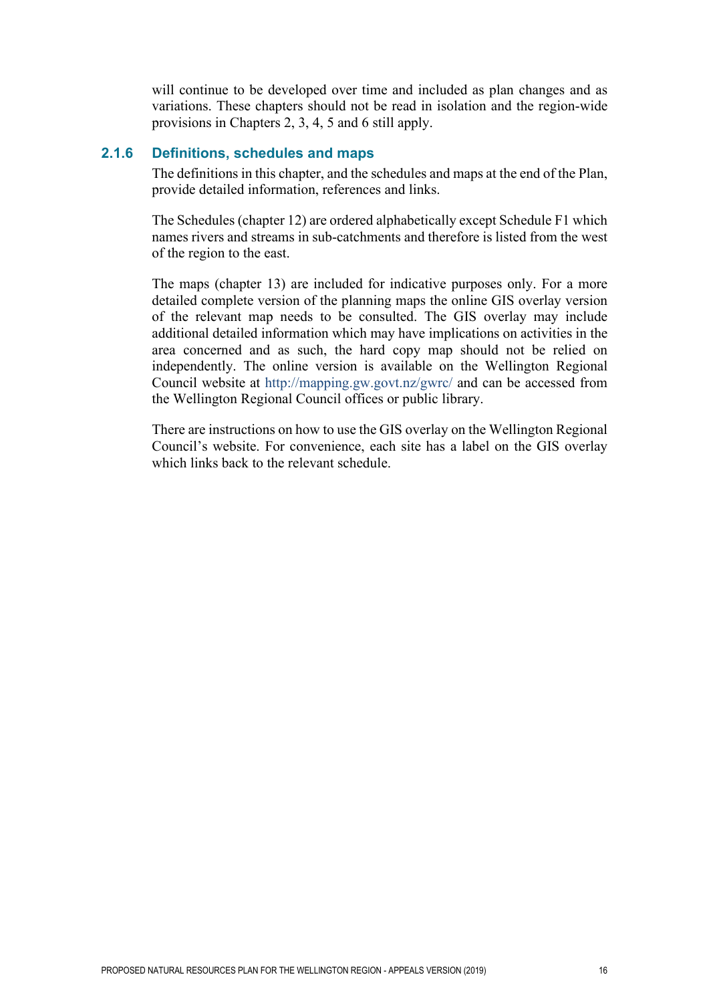will continue to be developed over time and included as plan changes and as variations. These chapters should not be read in isolation and the region-wide provisions in Chapters 2, 3, 4, 5 and 6 still apply.

#### **2.1.6 Definitions, schedules and maps**

The definitions in this chapter, and the schedules and maps at the end of the Plan, provide detailed information, references and links.

The Schedules (chapter 12) are ordered alphabetically except Schedule F1 which names rivers and streams in sub-catchments and therefore is listed from the west of the region to the east.

The maps (chapter 13) are included for indicative purposes only. For a more detailed complete version of the planning maps the online GIS overlay version of the relevant map needs to be consulted. The GIS overlay may include additional detailed information which may have implications on activities in the area concerned and as such, the hard copy map should not be relied on independently. The online version is available on the Wellington Regional Council website at<http://mapping.gw.govt.nz/gwrc/> and can be accessed from the Wellington Regional Council offices or public library.

There are instructions on how to use the GIS overlay on the Wellington Regional Council's website. For convenience, each site has a label on the GIS overlay which links back to the relevant schedule.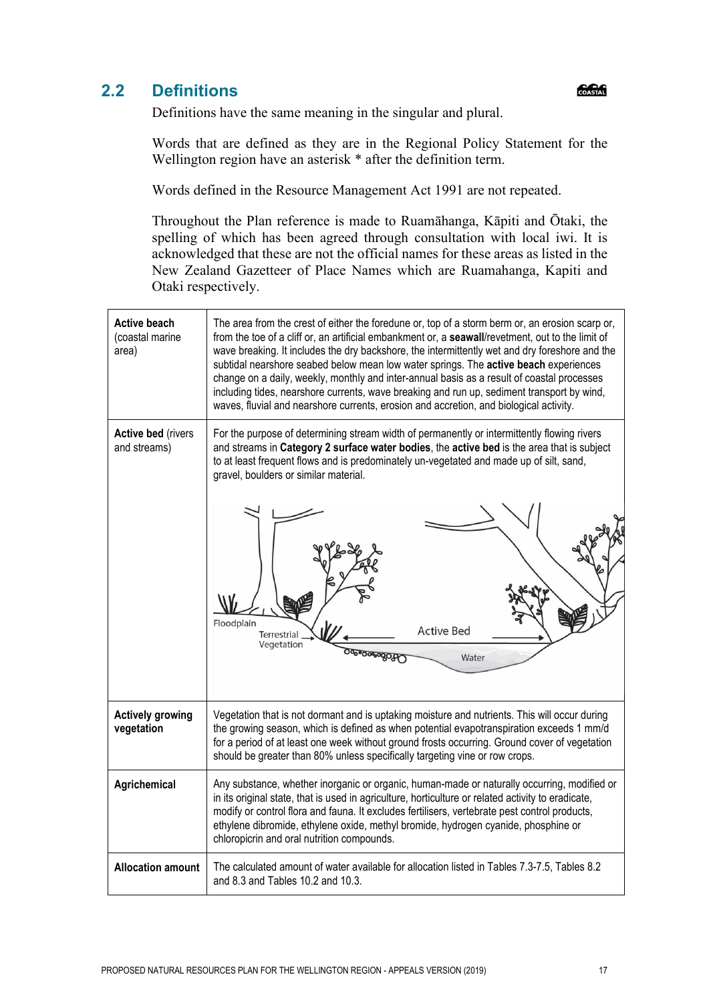# **2.2 Definitions**

COASTAL

Definitions have the same meaning in the singular and plural.

Words that are defined as they are in the Regional Policy Statement for the Wellington region have an asterisk  $*$  after the definition term.

Words defined in the Resource Management Act 1991 are not repeated.

Throughout the Plan reference is made to Ruamāhanga, Kāpiti and Ōtaki, the spelling of which has been agreed through consultation with local iwi. It is acknowledged that these are not the official names for these areas as listed in the New Zealand Gazetteer of Place Names which are Ruamahanga, Kapiti and Otaki respectively.

| <b>Active beach</b><br>(coastal marine<br>area) | The area from the crest of either the foredune or, top of a storm berm or, an erosion scarp or,<br>from the toe of a cliff or, an artificial embankment or, a seawall/revetment, out to the limit of<br>wave breaking. It includes the dry backshore, the intermittently wet and dry foreshore and the<br>subtidal nearshore seabed below mean low water springs. The active beach experiences<br>change on a daily, weekly, monthly and inter-annual basis as a result of coastal processes<br>including tides, nearshore currents, wave breaking and run up, sediment transport by wind,<br>waves, fluvial and nearshore currents, erosion and accretion, and biological activity. |
|-------------------------------------------------|--------------------------------------------------------------------------------------------------------------------------------------------------------------------------------------------------------------------------------------------------------------------------------------------------------------------------------------------------------------------------------------------------------------------------------------------------------------------------------------------------------------------------------------------------------------------------------------------------------------------------------------------------------------------------------------|
| <b>Active bed (rivers</b><br>and streams)       | For the purpose of determining stream width of permanently or intermittently flowing rivers<br>and streams in Category 2 surface water bodies, the active bed is the area that is subject<br>to at least frequent flows and is predominately un-vegetated and made up of silt, sand,<br>gravel, boulders or similar material.<br>Floodplain<br><b>Active Bed</b><br>Terrestrial<br>Vegetation<br>෮෯෮෨෨෨෧෮<br>Water                                                                                                                                                                                                                                                                   |
| <b>Actively growing</b><br>vegetation           | Vegetation that is not dormant and is uptaking moisture and nutrients. This will occur during<br>the growing season, which is defined as when potential evapotranspiration exceeds 1 mm/d<br>for a period of at least one week without ground frosts occurring. Ground cover of vegetation<br>should be greater than 80% unless specifically targeting vine or row crops.                                                                                                                                                                                                                                                                                                            |
| Agrichemical                                    | Any substance, whether inorganic or organic, human-made or naturally occurring, modified or<br>in its original state, that is used in agriculture, horticulture or related activity to eradicate,<br>modify or control flora and fauna. It excludes fertilisers, vertebrate pest control products,<br>ethylene dibromide, ethylene oxide, methyl bromide, hydrogen cyanide, phosphine or<br>chloropicrin and oral nutrition compounds.                                                                                                                                                                                                                                               |
| <b>Allocation amount</b>                        | The calculated amount of water available for allocation listed in Tables 7.3-7.5, Tables 8.2<br>and 8.3 and Tables 10.2 and 10.3.                                                                                                                                                                                                                                                                                                                                                                                                                                                                                                                                                    |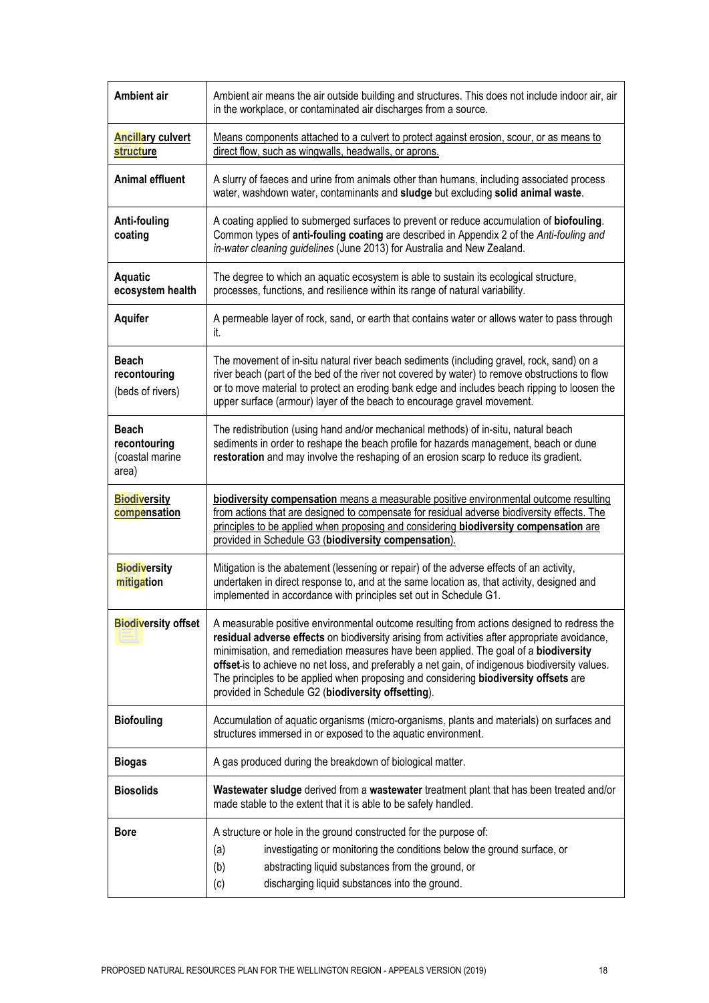| <b>Ambient air</b>                                       | Ambient air means the air outside building and structures. This does not include indoor air, air<br>in the workplace, or contaminated air discharges from a source.                                                                                                                                                                                                                                                                                                                                                                  |
|----------------------------------------------------------|--------------------------------------------------------------------------------------------------------------------------------------------------------------------------------------------------------------------------------------------------------------------------------------------------------------------------------------------------------------------------------------------------------------------------------------------------------------------------------------------------------------------------------------|
| <b>Ancillary culvert</b><br>structure                    | Means components attached to a culvert to protect against erosion, scour, or as means to<br>direct flow, such as wingwalls, headwalls, or aprons.                                                                                                                                                                                                                                                                                                                                                                                    |
| <b>Animal effluent</b>                                   | A slurry of faeces and urine from animals other than humans, including associated process<br>water, washdown water, contaminants and sludge but excluding solid animal waste.                                                                                                                                                                                                                                                                                                                                                        |
| <b>Anti-fouling</b><br>coating                           | A coating applied to submerged surfaces to prevent or reduce accumulation of biofouling.<br>Common types of anti-fouling coating are described in Appendix 2 of the Anti-fouling and<br>in-water cleaning guidelines (June 2013) for Australia and New Zealand.                                                                                                                                                                                                                                                                      |
| <b>Aquatic</b><br>ecosystem health                       | The degree to which an aquatic ecosystem is able to sustain its ecological structure,<br>processes, functions, and resilience within its range of natural variability.                                                                                                                                                                                                                                                                                                                                                               |
| <b>Aquifer</b>                                           | A permeable layer of rock, sand, or earth that contains water or allows water to pass through<br>it.                                                                                                                                                                                                                                                                                                                                                                                                                                 |
| Beach<br>recontouring<br>(beds of rivers)                | The movement of in-situ natural river beach sediments (including gravel, rock, sand) on a<br>river beach (part of the bed of the river not covered by water) to remove obstructions to flow<br>or to move material to protect an eroding bank edge and includes beach ripping to loosen the<br>upper surface (armour) layer of the beach to encourage gravel movement.                                                                                                                                                               |
| <b>Beach</b><br>recontouring<br>(coastal marine<br>area) | The redistribution (using hand and/or mechanical methods) of in-situ, natural beach<br>sediments in order to reshape the beach profile for hazards management, beach or dune<br>restoration and may involve the reshaping of an erosion scarp to reduce its gradient.                                                                                                                                                                                                                                                                |
| <b>Biodiversity</b><br>compensation                      | biodiversity compensation means a measurable positive environmental outcome resulting<br>from actions that are designed to compensate for residual adverse biodiversity effects. The<br>principles to be applied when proposing and considering biodiversity compensation are<br>provided in Schedule G3 (biodiversity compensation).                                                                                                                                                                                                |
| <b>Biodiversity</b><br>mitigation                        | Mitigation is the abatement (lessening or repair) of the adverse effects of an activity,<br>undertaken in direct response to, and at the same location as, that activity, designed and<br>implemented in accordance with principles set out in Schedule G1.                                                                                                                                                                                                                                                                          |
| <b>Biodiversity offset</b>                               | A measurable positive environmental outcome resulting from actions designed to redress the<br>residual adverse effects on biodiversity arising from activities after appropriate avoidance,<br>minimisation, and remediation measures have been applied. The goal of a biodiversity<br>offset-is to achieve no net loss, and preferably a net gain, of indigenous biodiversity values.<br>The principles to be applied when proposing and considering biodiversity offsets are<br>provided in Schedule G2 (biodiversity offsetting). |
| <b>Biofouling</b>                                        | Accumulation of aquatic organisms (micro-organisms, plants and materials) on surfaces and<br>structures immersed in or exposed to the aquatic environment.                                                                                                                                                                                                                                                                                                                                                                           |
| <b>Biogas</b>                                            | A gas produced during the breakdown of biological matter.                                                                                                                                                                                                                                                                                                                                                                                                                                                                            |
| <b>Biosolids</b>                                         | Wastewater sludge derived from a wastewater treatment plant that has been treated and/or<br>made stable to the extent that it is able to be safely handled.                                                                                                                                                                                                                                                                                                                                                                          |
| <b>Bore</b>                                              | A structure or hole in the ground constructed for the purpose of:                                                                                                                                                                                                                                                                                                                                                                                                                                                                    |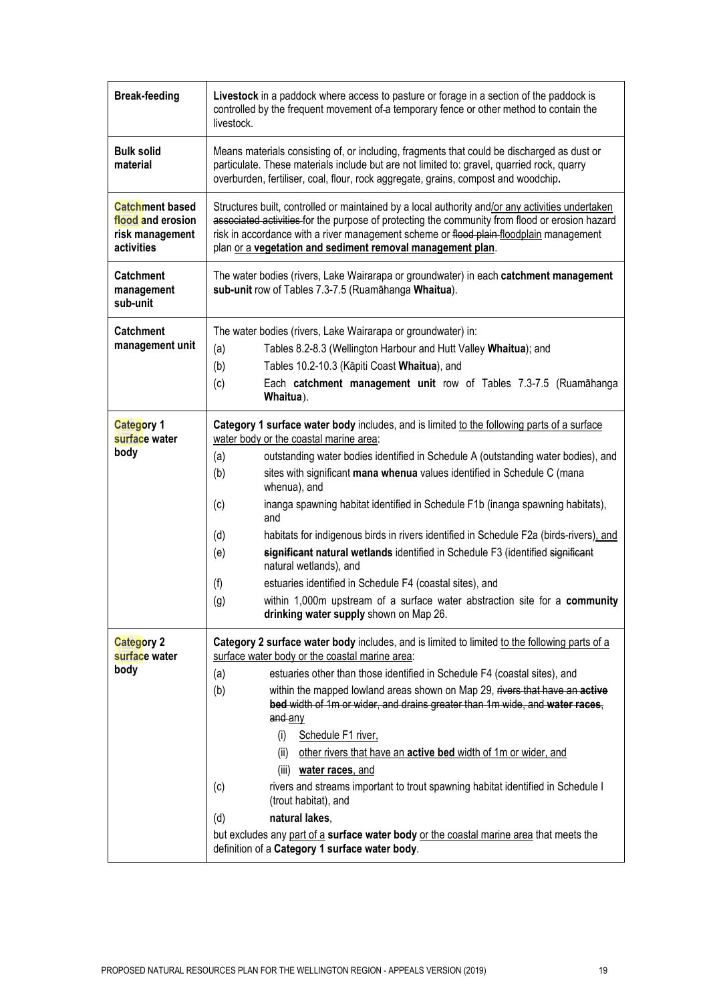| <b>Break-feeding</b>                                                         | Livestock in a paddock where access to pasture or forage in a section of the paddock is<br>controlled by the frequent movement of-a temporary fence or other method to contain the<br>livestock.                                                                                                                                                                                                                                                                                                                                                                                                                                                                                                                                                                                                                                                          |
|------------------------------------------------------------------------------|-----------------------------------------------------------------------------------------------------------------------------------------------------------------------------------------------------------------------------------------------------------------------------------------------------------------------------------------------------------------------------------------------------------------------------------------------------------------------------------------------------------------------------------------------------------------------------------------------------------------------------------------------------------------------------------------------------------------------------------------------------------------------------------------------------------------------------------------------------------|
| <b>Bulk solid</b><br>material                                                | Means materials consisting of, or including, fragments that could be discharged as dust or<br>particulate. These materials include but are not limited to: gravel, quarried rock, quarry<br>overburden, fertiliser, coal, flour, rock aggregate, grains, compost and woodchip.                                                                                                                                                                                                                                                                                                                                                                                                                                                                                                                                                                            |
| <b>Catchment based</b><br>flood and erosion<br>risk management<br>activities | Structures built, controlled or maintained by a local authority and/or any activities undertaken<br>associated activities for the purpose of protecting the community from flood or erosion hazard<br>risk in accordance with a river management scheme or flood plain-floodplain management<br>plan or a vegetation and sediment removal management plan.                                                                                                                                                                                                                                                                                                                                                                                                                                                                                                |
| <b>Catchment</b><br>management<br>sub-unit                                   | The water bodies (rivers, Lake Wairarapa or groundwater) in each catchment management<br>sub-unit row of Tables 7.3-7.5 (Ruamāhanga Whaitua).                                                                                                                                                                                                                                                                                                                                                                                                                                                                                                                                                                                                                                                                                                             |
| <b>Catchment</b><br>management unit                                          | The water bodies (rivers, Lake Wairarapa or groundwater) in:<br>Tables 8.2-8.3 (Wellington Harbour and Hutt Valley Whaitua); and<br>(a)<br>Tables 10.2-10.3 (Kāpiti Coast Whaitua), and<br>(b)<br>Each catchment management unit row of Tables 7.3-7.5 (Ruamāhanga<br>(c)<br>Whaitua).                                                                                                                                                                                                                                                                                                                                                                                                                                                                                                                                                                    |
| Category 1<br>surface water<br>body                                          | Category 1 surface water body includes, and is limited to the following parts of a surface<br>water body or the coastal marine area:<br>outstanding water bodies identified in Schedule A (outstanding water bodies), and<br>(a)<br>sites with significant mana whenua values identified in Schedule C (mana<br>(b)<br>whenua), and<br>inanga spawning habitat identified in Schedule F1b (inanga spawning habitats),<br>(c)<br>and<br>habitats for indigenous birds in rivers identified in Schedule F2a (birds-rivers), and<br>(d)<br>significant natural wetlands identified in Schedule F3 (identified significant<br>(e)<br>natural wetlands), and<br>estuaries identified in Schedule F4 (coastal sites), and<br>(f)<br>within 1,000m upstream of a surface water abstraction site for a community<br>(g)<br>drinking water supply shown on Map 26. |
| <b>Category 2</b><br>surface water<br>body                                   | Category 2 surface water body includes, and is limited to limited to the following parts of a<br>surface water body or the coastal marine area:<br>estuaries other than those identified in Schedule F4 (coastal sites), and<br>(a)<br>(b)<br>within the mapped lowland areas shown on Map 29, rivers that have an active<br>bed width of 1m or wider, and drains greater than 1m wide, and water races,<br>and any<br>(i)<br>Schedule F1 river,<br>(ii)<br>other rivers that have an active bed width of 1m or wider, and<br>(iii) water races, and<br>rivers and streams important to trout spawning habitat identified in Schedule I<br>(c)<br>(trout habitat), and<br>natural lakes,<br>(d)<br>but excludes any part of a surface water body or the coastal marine area that meets the<br>definition of a Category 1 surface water body.              |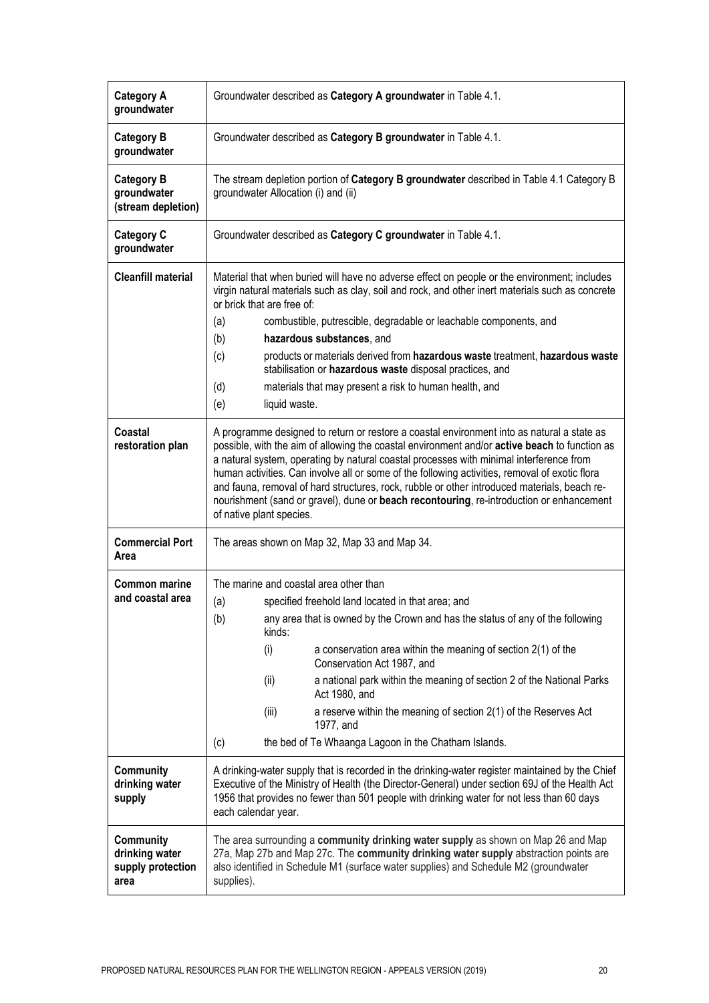| <b>Category A</b><br>groundwater                         | Groundwater described as Category A groundwater in Table 4.1.                                                                                                                                                                                                                                                                                                                                                                                                                                                                                                                                                    |
|----------------------------------------------------------|------------------------------------------------------------------------------------------------------------------------------------------------------------------------------------------------------------------------------------------------------------------------------------------------------------------------------------------------------------------------------------------------------------------------------------------------------------------------------------------------------------------------------------------------------------------------------------------------------------------|
| <b>Category B</b><br>groundwater                         | Groundwater described as Category B groundwater in Table 4.1.                                                                                                                                                                                                                                                                                                                                                                                                                                                                                                                                                    |
| <b>Category B</b><br>groundwater<br>(stream depletion)   | The stream depletion portion of Category B groundwater described in Table 4.1 Category B<br>groundwater Allocation (i) and (ii)                                                                                                                                                                                                                                                                                                                                                                                                                                                                                  |
| <b>Category C</b><br>groundwater                         | Groundwater described as Category C groundwater in Table 4.1.                                                                                                                                                                                                                                                                                                                                                                                                                                                                                                                                                    |
| <b>Cleanfill material</b>                                | Material that when buried will have no adverse effect on people or the environment; includes<br>virgin natural materials such as clay, soil and rock, and other inert materials such as concrete<br>or brick that are free of:                                                                                                                                                                                                                                                                                                                                                                                   |
|                                                          | combustible, putrescible, degradable or leachable components, and<br>(a)                                                                                                                                                                                                                                                                                                                                                                                                                                                                                                                                         |
|                                                          | hazardous substances, and<br>(b)                                                                                                                                                                                                                                                                                                                                                                                                                                                                                                                                                                                 |
|                                                          | (c)<br>products or materials derived from hazardous waste treatment, hazardous waste<br>stabilisation or hazardous waste disposal practices, and                                                                                                                                                                                                                                                                                                                                                                                                                                                                 |
|                                                          | materials that may present a risk to human health, and<br>(d)                                                                                                                                                                                                                                                                                                                                                                                                                                                                                                                                                    |
|                                                          | (e)<br>liquid waste.                                                                                                                                                                                                                                                                                                                                                                                                                                                                                                                                                                                             |
| Coastal<br>restoration plan                              | A programme designed to return or restore a coastal environment into as natural a state as<br>possible, with the aim of allowing the coastal environment and/or active beach to function as<br>a natural system, operating by natural coastal processes with minimal interference from<br>human activities. Can involve all or some of the following activities, removal of exotic flora<br>and fauna, removal of hard structures, rock, rubble or other introduced materials, beach re-<br>nourishment (sand or gravel), dune or beach recontouring, re-introduction or enhancement<br>of native plant species. |
| <b>Commercial Port</b><br>Area                           | The areas shown on Map 32, Map 33 and Map 34.                                                                                                                                                                                                                                                                                                                                                                                                                                                                                                                                                                    |
| <b>Common marine</b><br>and coastal area                 | The marine and coastal area other than<br>specified freehold land located in that area; and<br>(a)<br>any area that is owned by the Crown and has the status of any of the following<br>(b)<br>kinds:<br>(i)<br>a conservation area within the meaning of section $2(1)$ of the<br>Conservation Act 1987, and<br>a national park within the meaning of section 2 of the National Parks<br>(ii)<br>Act 1980, and<br>(iii)<br>a reserve within the meaning of section 2(1) of the Reserves Act<br>1977, and<br>the bed of Te Whaanga Lagoon in the Chatham Islands.<br>(c)                                         |
| Community<br>drinking water<br>supply                    | A drinking-water supply that is recorded in the drinking-water register maintained by the Chief<br>Executive of the Ministry of Health (the Director-General) under section 69J of the Health Act<br>1956 that provides no fewer than 501 people with drinking water for not less than 60 days<br>each calendar year.                                                                                                                                                                                                                                                                                            |
| Community<br>drinking water<br>supply protection<br>area | The area surrounding a community drinking water supply as shown on Map 26 and Map<br>27a, Map 27b and Map 27c. The community drinking water supply abstraction points are<br>also identified in Schedule M1 (surface water supplies) and Schedule M2 (groundwater<br>supplies).                                                                                                                                                                                                                                                                                                                                  |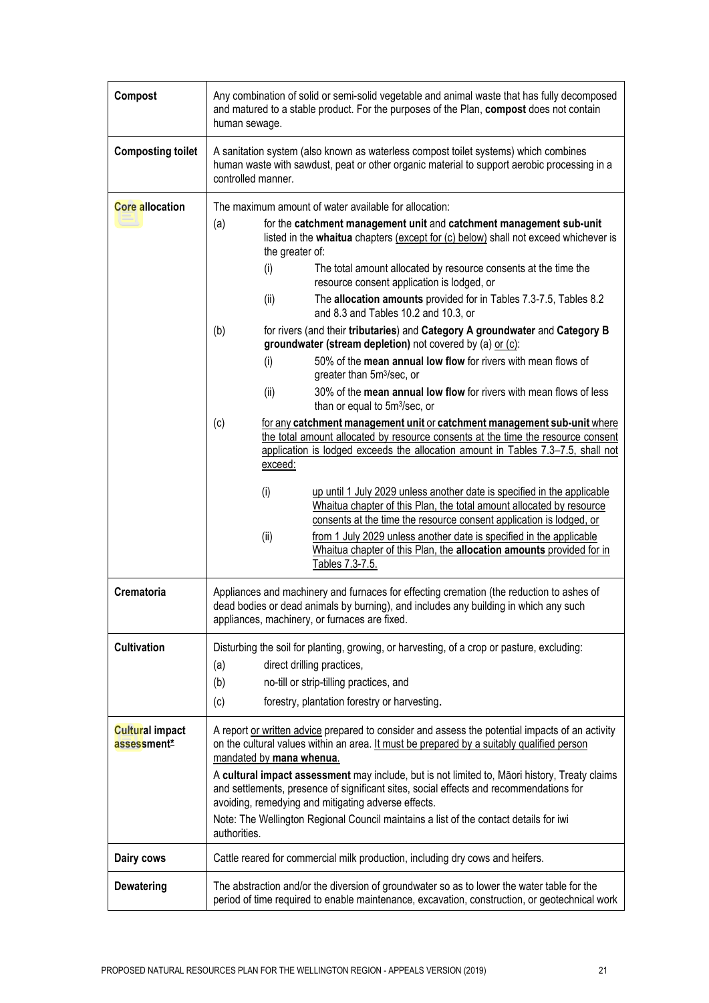| Compost                               | Any combination of solid or semi-solid vegetable and animal waste that has fully decomposed<br>and matured to a stable product. For the purposes of the Plan, compost does not contain<br>human sewage.                                                                                                                                                                                                                                                                                                                                                                                                                                                                                                                                                                                                                           |
|---------------------------------------|-----------------------------------------------------------------------------------------------------------------------------------------------------------------------------------------------------------------------------------------------------------------------------------------------------------------------------------------------------------------------------------------------------------------------------------------------------------------------------------------------------------------------------------------------------------------------------------------------------------------------------------------------------------------------------------------------------------------------------------------------------------------------------------------------------------------------------------|
| <b>Composting toilet</b>              | A sanitation system (also known as waterless compost toilet systems) which combines<br>human waste with sawdust, peat or other organic material to support aerobic processing in a<br>controlled manner.                                                                                                                                                                                                                                                                                                                                                                                                                                                                                                                                                                                                                          |
| <b>Core allocation</b>                | The maximum amount of water available for allocation:                                                                                                                                                                                                                                                                                                                                                                                                                                                                                                                                                                                                                                                                                                                                                                             |
|                                       | for the catchment management unit and catchment management sub-unit<br>(a)<br>listed in the whaitua chapters (except for (c) below) shall not exceed whichever is<br>the greater of:<br>(i)<br>The total amount allocated by resource consents at the time the<br>resource consent application is lodged, or<br>The allocation amounts provided for in Tables 7.3-7.5, Tables 8.2<br>(ii)<br>and 8.3 and Tables 10.2 and 10.3, or<br>for rivers (and their tributaries) and Category A groundwater and Category B<br>(b)<br>groundwater (stream depletion) not covered by (a) or (c):<br>50% of the mean annual low flow for rivers with mean flows of<br>(i)<br>greater than 5m <sup>3</sup> /sec, or<br>30% of the mean annual low flow for rivers with mean flows of less<br>(ii)<br>than or equal to 5m <sup>3</sup> /sec, or |
|                                       | (c)<br>for any catchment management unit or catchment management sub-unit where<br>the total amount allocated by resource consents at the time the resource consent<br>application is lodged exceeds the allocation amount in Tables 7.3-7.5, shall not<br>exceed:<br>(i)<br>up until 1 July 2029 unless another date is specified in the applicable<br>Whaitua chapter of this Plan, the total amount allocated by resource<br>consents at the time the resource consent application is lodged, or<br>from 1 July 2029 unless another date is specified in the applicable<br>(ii)<br>Whaitua chapter of this Plan, the allocation amounts provided for in<br>Tables 7.3-7.5.                                                                                                                                                     |
| Crematoria                            | Appliances and machinery and furnaces for effecting cremation (the reduction to ashes of<br>dead bodies or dead animals by burning), and includes any building in which any such<br>appliances, machinery, or furnaces are fixed.                                                                                                                                                                                                                                                                                                                                                                                                                                                                                                                                                                                                 |
| <b>Cultivation</b>                    | Disturbing the soil for planting, growing, or harvesting, of a crop or pasture, excluding:<br>direct drilling practices,<br>(a)<br>no-till or strip-tilling practices, and<br>(b)<br>(c)<br>forestry, plantation forestry or harvesting.                                                                                                                                                                                                                                                                                                                                                                                                                                                                                                                                                                                          |
| <b>Cultural impact</b><br>assessment* | A report or written advice prepared to consider and assess the potential impacts of an activity<br>on the cultural values within an area. It must be prepared by a suitably qualified person<br>mandated by mana whenua.<br>A cultural impact assessment may include, but is not limited to, Māori history, Treaty claims<br>and settlements, presence of significant sites, social effects and recommendations for<br>avoiding, remedying and mitigating adverse effects.<br>Note: The Wellington Regional Council maintains a list of the contact details for iwi<br>authorities.                                                                                                                                                                                                                                               |
| Dairy cows                            | Cattle reared for commercial milk production, including dry cows and heifers.                                                                                                                                                                                                                                                                                                                                                                                                                                                                                                                                                                                                                                                                                                                                                     |
| <b>Dewatering</b>                     | The abstraction and/or the diversion of groundwater so as to lower the water table for the<br>period of time required to enable maintenance, excavation, construction, or geotechnical work                                                                                                                                                                                                                                                                                                                                                                                                                                                                                                                                                                                                                                       |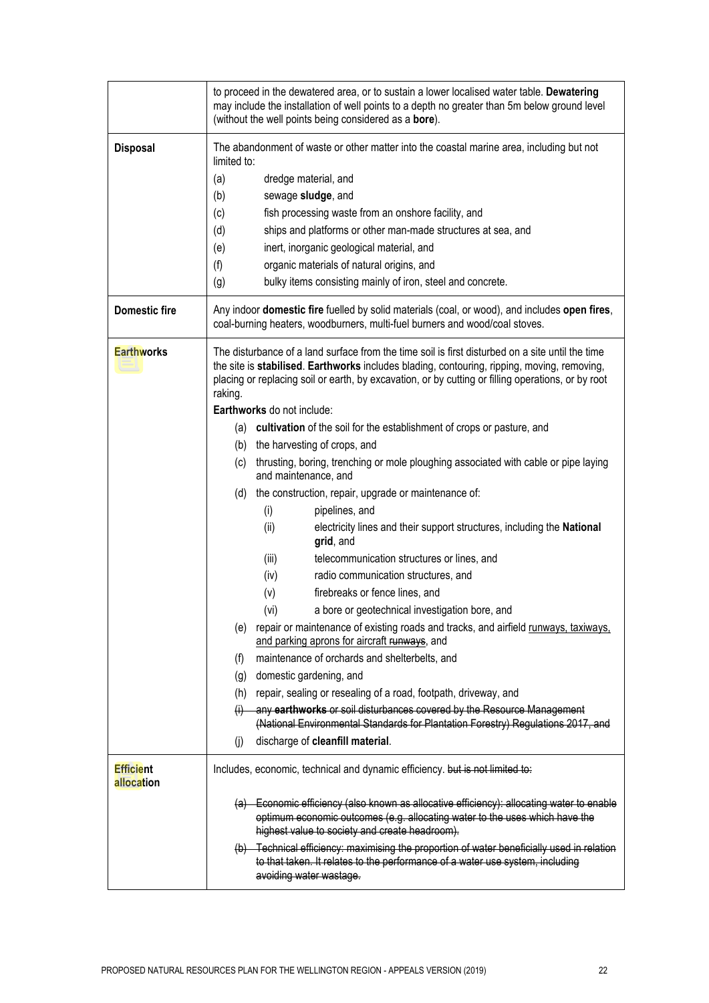|                                | to proceed in the dewatered area, or to sustain a lower localised water table. Dewatering<br>may include the installation of well points to a depth no greater than 5m below ground level<br>(without the well points being considered as a bore).                                                               |
|--------------------------------|------------------------------------------------------------------------------------------------------------------------------------------------------------------------------------------------------------------------------------------------------------------------------------------------------------------|
| <b>Disposal</b>                | The abandonment of waste or other matter into the coastal marine area, including but not<br>limited to:                                                                                                                                                                                                          |
|                                | (a)<br>dredge material, and                                                                                                                                                                                                                                                                                      |
|                                | (b)<br>sewage sludge, and                                                                                                                                                                                                                                                                                        |
|                                | fish processing waste from an onshore facility, and<br>(c)                                                                                                                                                                                                                                                       |
|                                | (d)<br>ships and platforms or other man-made structures at sea, and                                                                                                                                                                                                                                              |
|                                | inert, inorganic geological material, and<br>(e)                                                                                                                                                                                                                                                                 |
|                                | (f)<br>organic materials of natural origins, and                                                                                                                                                                                                                                                                 |
|                                | (g)<br>bulky items consisting mainly of iron, steel and concrete.                                                                                                                                                                                                                                                |
| <b>Domestic fire</b>           | Any indoor domestic fire fuelled by solid materials (coal, or wood), and includes open fires,<br>coal-burning heaters, woodburners, multi-fuel burners and wood/coal stoves.                                                                                                                                     |
| <b>Earthworks</b>              | The disturbance of a land surface from the time soil is first disturbed on a site until the time<br>the site is stabilised. Earthworks includes blading, contouring, ripping, moving, removing,<br>placing or replacing soil or earth, by excavation, or by cutting or filling operations, or by root<br>raking. |
|                                | Earthworks do not include:                                                                                                                                                                                                                                                                                       |
|                                | (a) cultivation of the soil for the establishment of crops or pasture, and                                                                                                                                                                                                                                       |
|                                | (b) the harvesting of crops, and                                                                                                                                                                                                                                                                                 |
|                                | (c) thrusting, boring, trenching or mole ploughing associated with cable or pipe laying<br>and maintenance, and                                                                                                                                                                                                  |
|                                | (d) the construction, repair, upgrade or maintenance of:                                                                                                                                                                                                                                                         |
|                                | (i)<br>pipelines, and                                                                                                                                                                                                                                                                                            |
|                                | (ii)<br>electricity lines and their support structures, including the National<br>grid, and                                                                                                                                                                                                                      |
|                                | (iii)<br>telecommunication structures or lines, and                                                                                                                                                                                                                                                              |
|                                | (iv)<br>radio communication structures, and                                                                                                                                                                                                                                                                      |
|                                | (v)<br>firebreaks or fence lines, and                                                                                                                                                                                                                                                                            |
|                                | (vi)<br>a bore or geotechnical investigation bore, and                                                                                                                                                                                                                                                           |
|                                | (e) repair or maintenance of existing roads and tracks, and airfield runways, taxiways,<br>and parking aprons for aircraft runways, and                                                                                                                                                                          |
|                                | maintenance of orchards and shelterbelts, and<br>(f)                                                                                                                                                                                                                                                             |
|                                | (g) domestic gardening, and                                                                                                                                                                                                                                                                                      |
|                                | repair, sealing or resealing of a road, footpath, driveway, and<br>(h)                                                                                                                                                                                                                                           |
|                                | any earthworks or soil disturbances covered by the Resource Management<br>(i)<br>(National Environmental Standards for Plantation Forestry) Regulations 2017, and                                                                                                                                                |
|                                | discharge of cleanfill material.<br>(i)                                                                                                                                                                                                                                                                          |
| <b>Efficient</b><br>allocation | Includes, economic, technical and dynamic efficiency. but is not limited to:                                                                                                                                                                                                                                     |
|                                | (a) Economic efficiency (also known as allocative efficiency): allocating water to enable<br>optimum economic outcomes (e.g. allocating water to the uses which have the                                                                                                                                         |
|                                | highest value to society and create headroom).                                                                                                                                                                                                                                                                   |
|                                | (b) Technical efficiency: maximising the proportion of water beneficially used in relation<br>to that taken. It relates to the performance of a water use system, including<br>avoiding water wastage.                                                                                                           |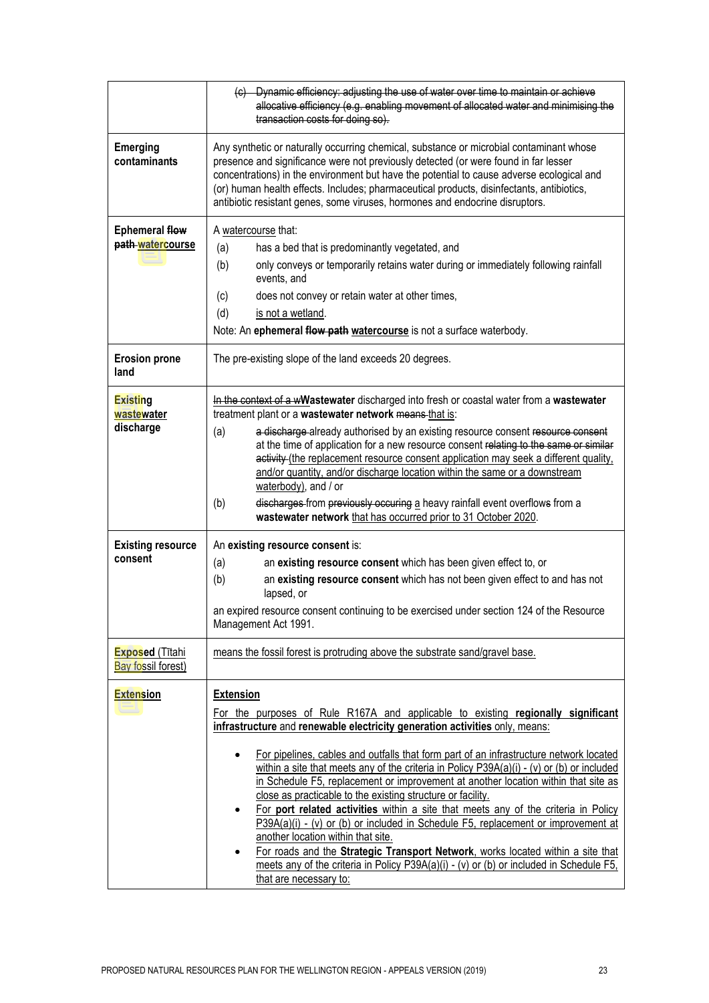|                                              | (c) Dynamic efficiency: adjusting the use of water over time to maintain or achieve<br>allocative efficiency (e.g. enabling movement of allocated water and minimising the<br>transaction costs for doing so).                                                                                                                                                                                                                                                                                                                                                                                                                                                                                                                                                                                                                                                                                                                                                                                   |
|----------------------------------------------|--------------------------------------------------------------------------------------------------------------------------------------------------------------------------------------------------------------------------------------------------------------------------------------------------------------------------------------------------------------------------------------------------------------------------------------------------------------------------------------------------------------------------------------------------------------------------------------------------------------------------------------------------------------------------------------------------------------------------------------------------------------------------------------------------------------------------------------------------------------------------------------------------------------------------------------------------------------------------------------------------|
| <b>Emerging</b><br>contaminants              | Any synthetic or naturally occurring chemical, substance or microbial contaminant whose<br>presence and significance were not previously detected (or were found in far lesser<br>concentrations) in the environment but have the potential to cause adverse ecological and<br>(or) human health effects. Includes; pharmaceutical products, disinfectants, antibiotics,<br>antibiotic resistant genes, some viruses, hormones and endocrine disruptors.                                                                                                                                                                                                                                                                                                                                                                                                                                                                                                                                         |
| <b>Ephemeral flow</b><br>path-watercourse    | A watercourse that:<br>has a bed that is predominantly vegetated, and<br>(a)<br>only conveys or temporarily retains water during or immediately following rainfall<br>(b)<br>events, and<br>does not convey or retain water at other times,<br>(c)<br>(d)<br>is not a wetland.<br>Note: An ephemeral flow path watercourse is not a surface waterbody.                                                                                                                                                                                                                                                                                                                                                                                                                                                                                                                                                                                                                                           |
| <b>Erosion prone</b><br>land                 | The pre-existing slope of the land exceeds 20 degrees.                                                                                                                                                                                                                                                                                                                                                                                                                                                                                                                                                                                                                                                                                                                                                                                                                                                                                                                                           |
| <b>Existing</b><br>wastewater<br>discharge   | In the context of a wWastewater discharged into fresh or coastal water from a wastewater<br>treatment plant or a wastewater network means that is:<br>a discharge already authorised by an existing resource consent resource consent<br>(a)<br>at the time of application for a new resource consent relating to the same or similar<br>activity (the replacement resource consent application may seek a different quality,<br>and/or quantity, and/or discharge location within the same or a downstream<br>waterbody), and / or<br>discharges from previously occuring a heavy rainfall event overflows from a<br>(b)<br>wastewater network that has occurred prior to 31 October 2020.                                                                                                                                                                                                                                                                                                      |
| <b>Existing resource</b><br>consent          | An existing resource consent is:<br>(a)<br>an existing resource consent which has been given effect to, or<br>(b)<br>an existing resource consent which has not been given effect to and has not<br>lapsed, or<br>an expired resource consent continuing to be exercised under section 124 of the Resource<br>Management Act 1991.                                                                                                                                                                                                                                                                                                                                                                                                                                                                                                                                                                                                                                                               |
| <b>Exposed</b> (Tītahi<br>Bay fossil forest) | means the fossil forest is protruding above the substrate sand/gravel base.                                                                                                                                                                                                                                                                                                                                                                                                                                                                                                                                                                                                                                                                                                                                                                                                                                                                                                                      |
| <b>Extension</b>                             | <b>Extension</b><br>For the purposes of Rule R167A and applicable to existing regionally significant<br>infrastructure and renewable electricity generation activities only, means:<br>For pipelines, cables and outfalls that form part of an infrastructure network located<br>$\bullet$<br>within a site that meets any of the criteria in Policy P39A(a)(i) - (v) or (b) or included<br>in Schedule F5, replacement or improvement at another location within that site as<br>close as practicable to the existing structure or facility.<br>For port related activities within a site that meets any of the criteria in Policy<br>$\bullet$<br>P39A(a)(i) - (v) or (b) or included in Schedule F5, replacement or improvement at<br>another location within that site.<br>For roads and the Strategic Transport Network, works located within a site that<br>$\bullet$<br>meets any of the criteria in Policy P39A(a)(i) - (v) or (b) or included in Schedule F5,<br>that are necessary to: |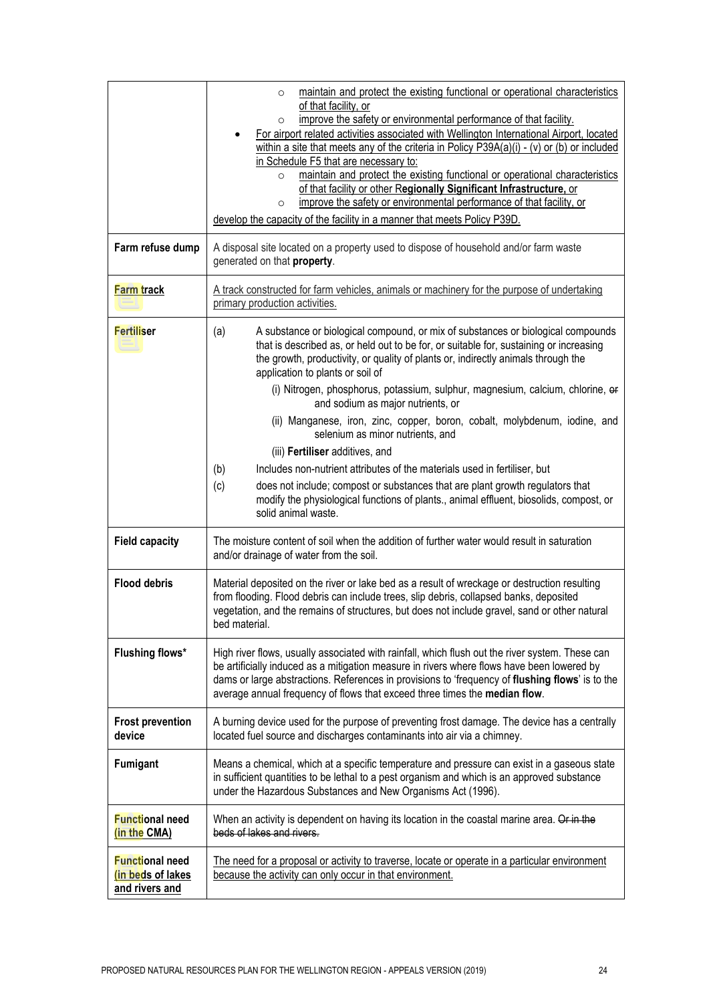|                                                               | maintain and protect the existing functional or operational characteristics<br>$\circ$<br>of that facility, or<br>improve the safety or environmental performance of that facility.<br>$\circ$<br>For airport related activities associated with Wellington International Airport, located<br>within a site that meets any of the criteria in Policy P39A(a)(i) - (v) or (b) or included<br>in Schedule F5 that are necessary to:<br>maintain and protect the existing functional or operational characteristics<br>$\circ$<br>of that facility or other Regionally Significant Infrastructure, or<br>improve the safety or environmental performance of that facility, or<br>O<br>develop the capacity of the facility in a manner that meets Policy P39D.                                                                                                                         |
|---------------------------------------------------------------|-------------------------------------------------------------------------------------------------------------------------------------------------------------------------------------------------------------------------------------------------------------------------------------------------------------------------------------------------------------------------------------------------------------------------------------------------------------------------------------------------------------------------------------------------------------------------------------------------------------------------------------------------------------------------------------------------------------------------------------------------------------------------------------------------------------------------------------------------------------------------------------|
| Farm refuse dump                                              | A disposal site located on a property used to dispose of household and/or farm waste<br>generated on that property.                                                                                                                                                                                                                                                                                                                                                                                                                                                                                                                                                                                                                                                                                                                                                                 |
| Farm track                                                    | A track constructed for farm vehicles, animals or machinery for the purpose of undertaking<br>primary production activities.                                                                                                                                                                                                                                                                                                                                                                                                                                                                                                                                                                                                                                                                                                                                                        |
| <b>Fertiliser</b>                                             | (a)<br>A substance or biological compound, or mix of substances or biological compounds<br>that is described as, or held out to be for, or suitable for, sustaining or increasing<br>the growth, productivity, or quality of plants or, indirectly animals through the<br>application to plants or soil of<br>(i) Nitrogen, phosphorus, potassium, sulphur, magnesium, calcium, chlorine, er<br>and sodium as major nutrients, or<br>(ii) Manganese, iron, zinc, copper, boron, cobalt, molybdenum, iodine, and<br>selenium as minor nutrients, and<br>(iii) Fertiliser additives, and<br>Includes non-nutrient attributes of the materials used in fertiliser, but<br>(b)<br>(c)<br>does not include; compost or substances that are plant growth regulators that<br>modify the physiological functions of plants., animal effluent, biosolids, compost, or<br>solid animal waste. |
| <b>Field capacity</b>                                         | The moisture content of soil when the addition of further water would result in saturation<br>and/or drainage of water from the soil.                                                                                                                                                                                                                                                                                                                                                                                                                                                                                                                                                                                                                                                                                                                                               |
| <b>Flood debris</b>                                           | Material deposited on the river or lake bed as a result of wreckage or destruction resulting<br>from flooding. Flood debris can include trees, slip debris, collapsed banks, deposited<br>vegetation, and the remains of structures, but does not include gravel, sand or other natural<br>bed material.                                                                                                                                                                                                                                                                                                                                                                                                                                                                                                                                                                            |
| <b>Flushing flows*</b>                                        | High river flows, usually associated with rainfall, which flush out the river system. These can<br>be artificially induced as a mitigation measure in rivers where flows have been lowered by<br>dams or large abstractions. References in provisions to 'frequency of flushing flows' is to the<br>average annual frequency of flows that exceed three times the median flow.                                                                                                                                                                                                                                                                                                                                                                                                                                                                                                      |
| <b>Frost prevention</b><br>device                             | A burning device used for the purpose of preventing frost damage. The device has a centrally<br>located fuel source and discharges contaminants into air via a chimney.                                                                                                                                                                                                                                                                                                                                                                                                                                                                                                                                                                                                                                                                                                             |
| <b>Fumigant</b>                                               | Means a chemical, which at a specific temperature and pressure can exist in a gaseous state<br>in sufficient quantities to be lethal to a pest organism and which is an approved substance<br>under the Hazardous Substances and New Organisms Act (1996).                                                                                                                                                                                                                                                                                                                                                                                                                                                                                                                                                                                                                          |
| <b>Functional need</b><br>(in the CMA)                        | When an activity is dependent on having its location in the coastal marine area. Or in the<br>beds of lakes and rivers.                                                                                                                                                                                                                                                                                                                                                                                                                                                                                                                                                                                                                                                                                                                                                             |
| <b>Functional need</b><br>(in beds of lakes<br>and rivers and | The need for a proposal or activity to traverse, locate or operate in a particular environment<br>because the activity can only occur in that environment.                                                                                                                                                                                                                                                                                                                                                                                                                                                                                                                                                                                                                                                                                                                          |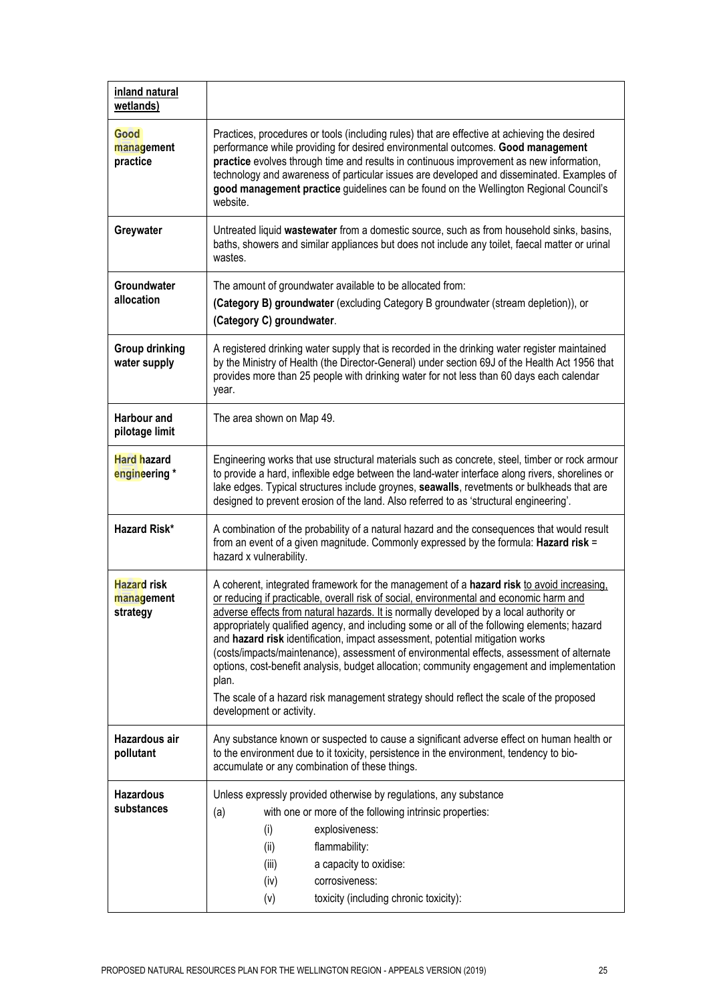| inland natural<br>wetlands)                  |                                                                                                                                                                                                                                                                                                                                                                                                                                                                                                                                                                                                                                                                                                                                                                                           |
|----------------------------------------------|-------------------------------------------------------------------------------------------------------------------------------------------------------------------------------------------------------------------------------------------------------------------------------------------------------------------------------------------------------------------------------------------------------------------------------------------------------------------------------------------------------------------------------------------------------------------------------------------------------------------------------------------------------------------------------------------------------------------------------------------------------------------------------------------|
| Good<br>management<br>practice               | Practices, procedures or tools (including rules) that are effective at achieving the desired<br>performance while providing for desired environmental outcomes. Good management<br>practice evolves through time and results in continuous improvement as new information,<br>technology and awareness of particular issues are developed and disseminated. Examples of<br>good management practice guidelines can be found on the Wellington Regional Council's<br>website.                                                                                                                                                                                                                                                                                                              |
| Greywater                                    | Untreated liquid wastewater from a domestic source, such as from household sinks, basins,<br>baths, showers and similar appliances but does not include any toilet, faecal matter or urinal<br>wastes.                                                                                                                                                                                                                                                                                                                                                                                                                                                                                                                                                                                    |
| Groundwater<br>allocation                    | The amount of groundwater available to be allocated from:<br>(Category B) groundwater (excluding Category B groundwater (stream depletion)), or<br>(Category C) groundwater.                                                                                                                                                                                                                                                                                                                                                                                                                                                                                                                                                                                                              |
| <b>Group drinking</b><br>water supply        | A registered drinking water supply that is recorded in the drinking water register maintained<br>by the Ministry of Health (the Director-General) under section 69J of the Health Act 1956 that<br>provides more than 25 people with drinking water for not less than 60 days each calendar<br>year.                                                                                                                                                                                                                                                                                                                                                                                                                                                                                      |
| Harbour and<br>pilotage limit                | The area shown on Map 49.                                                                                                                                                                                                                                                                                                                                                                                                                                                                                                                                                                                                                                                                                                                                                                 |
| Hard hazard<br>engineering *                 | Engineering works that use structural materials such as concrete, steel, timber or rock armour<br>to provide a hard, inflexible edge between the land-water interface along rivers, shorelines or<br>lake edges. Typical structures include groynes, seawalls, revetments or bulkheads that are<br>designed to prevent erosion of the land. Also referred to as 'structural engineering'.                                                                                                                                                                                                                                                                                                                                                                                                 |
| <b>Hazard Risk*</b>                          | A combination of the probability of a natural hazard and the consequences that would result<br>from an event of a given magnitude. Commonly expressed by the formula: Hazard risk =<br>hazard x vulnerability.                                                                                                                                                                                                                                                                                                                                                                                                                                                                                                                                                                            |
| <b>Hazard risk</b><br>management<br>strategy | A coherent, integrated framework for the management of a hazard risk to avoid increasing,<br>or reducing if practicable, overall risk of social, environmental and economic harm and<br>adverse effects from natural hazards. It is normally developed by a local authority or<br>appropriately qualified agency, and including some or all of the following elements; hazard<br>and hazard risk identification, impact assessment, potential mitigation works<br>(costs/impacts/maintenance), assessment of environmental effects, assessment of alternate<br>options, cost-benefit analysis, budget allocation; community engagement and implementation<br>plan.<br>The scale of a hazard risk management strategy should reflect the scale of the proposed<br>development or activity. |
| Hazardous air<br>pollutant                   | Any substance known or suspected to cause a significant adverse effect on human health or<br>to the environment due to it toxicity, persistence in the environment, tendency to bio-<br>accumulate or any combination of these things.                                                                                                                                                                                                                                                                                                                                                                                                                                                                                                                                                    |
| <b>Hazardous</b><br>substances               | Unless expressly provided otherwise by regulations, any substance<br>with one or more of the following intrinsic properties:<br>(a)<br>(i)<br>explosiveness:<br>(ii)<br>flammability:<br>(iii)<br>a capacity to oxidise:<br>corrosiveness:<br>(iv)<br>(v)<br>toxicity (including chronic toxicity):                                                                                                                                                                                                                                                                                                                                                                                                                                                                                       |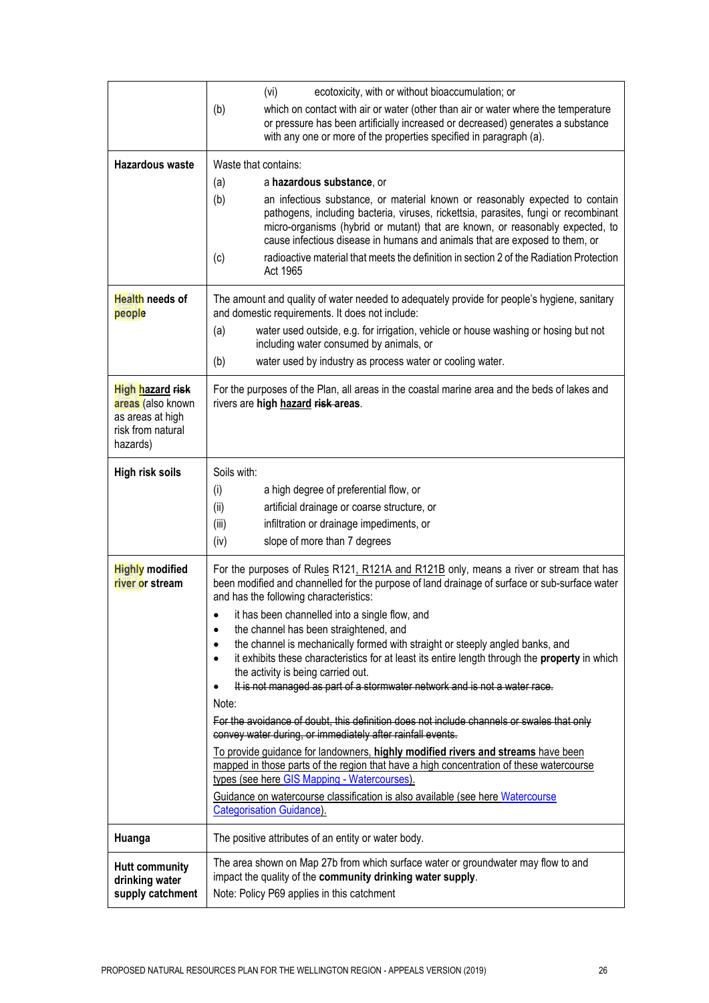|                                                                                            | ecotoxicity, with or without bioaccumulation; or<br>(vi)                                                                                                                                                                                                                                                                                                                                                                                     |
|--------------------------------------------------------------------------------------------|----------------------------------------------------------------------------------------------------------------------------------------------------------------------------------------------------------------------------------------------------------------------------------------------------------------------------------------------------------------------------------------------------------------------------------------------|
|                                                                                            | which on contact with air or water (other than air or water where the temperature<br>(b)<br>or pressure has been artificially increased or decreased) generates a substance<br>with any one or more of the properties specified in paragraph (a).                                                                                                                                                                                            |
| <b>Hazardous waste</b>                                                                     | Waste that contains:                                                                                                                                                                                                                                                                                                                                                                                                                         |
|                                                                                            | a hazardous substance, or<br>(a)                                                                                                                                                                                                                                                                                                                                                                                                             |
|                                                                                            | (b)<br>an infectious substance, or material known or reasonably expected to contain<br>pathogens, including bacteria, viruses, rickettsia, parasites, fungi or recombinant<br>micro-organisms (hybrid or mutant) that are known, or reasonably expected, to<br>cause infectious disease in humans and animals that are exposed to them, or<br>radioactive material that meets the definition in section 2 of the Radiation Protection<br>(c) |
|                                                                                            | Act 1965                                                                                                                                                                                                                                                                                                                                                                                                                                     |
| Health needs of<br>people                                                                  | The amount and quality of water needed to adequately provide for people's hygiene, sanitary<br>and domestic requirements. It does not include:                                                                                                                                                                                                                                                                                               |
|                                                                                            | (a)<br>water used outside, e.g. for irrigation, vehicle or house washing or hosing but not<br>including water consumed by animals, or<br>water used by industry as process water or cooling water.<br>(b)                                                                                                                                                                                                                                    |
|                                                                                            |                                                                                                                                                                                                                                                                                                                                                                                                                                              |
| High hazard risk<br>areas (also known<br>as areas at high<br>risk from natural<br>hazards) | For the purposes of the Plan, all areas in the coastal marine area and the beds of lakes and<br>rivers are high hazard risk-areas.                                                                                                                                                                                                                                                                                                           |
| High risk soils                                                                            | Soils with:                                                                                                                                                                                                                                                                                                                                                                                                                                  |
|                                                                                            | a high degree of preferential flow, or<br>(i)                                                                                                                                                                                                                                                                                                                                                                                                |
|                                                                                            | (ii)<br>artificial drainage or coarse structure, or                                                                                                                                                                                                                                                                                                                                                                                          |
|                                                                                            | (iii)<br>infiltration or drainage impediments, or                                                                                                                                                                                                                                                                                                                                                                                            |
|                                                                                            | slope of more than 7 degrees<br>(iv)                                                                                                                                                                                                                                                                                                                                                                                                         |
| <b>Highly modified</b><br>river or stream                                                  | For the purposes of Rules R121, R121A and R121B only, means a river or stream that has<br>been modified and channelled for the purpose of land drainage of surface or sub-surface water<br>and has the following characteristics:                                                                                                                                                                                                            |
|                                                                                            | it has been channelled into a single flow, and                                                                                                                                                                                                                                                                                                                                                                                               |
|                                                                                            | the channel has been straightened, and<br>$\bullet$<br>the channel is mechanically formed with straight or steeply angled banks, and<br>$\bullet$                                                                                                                                                                                                                                                                                            |
|                                                                                            | it exhibits these characteristics for at least its entire length through the property in which<br>$\bullet$<br>the activity is being carried out.                                                                                                                                                                                                                                                                                            |
|                                                                                            | It is not managed as part of a stormwater network and is not a water race.<br>$\bullet$                                                                                                                                                                                                                                                                                                                                                      |
|                                                                                            | Note:<br>For the avoidance of doubt, this definition does not include channels or swales that only                                                                                                                                                                                                                                                                                                                                           |
|                                                                                            | convey water during, or immediately after rainfall events.                                                                                                                                                                                                                                                                                                                                                                                   |
|                                                                                            | To provide guidance for landowners, highly modified rivers and streams have been<br>mapped in those parts of the region that have a high concentration of these watercourse                                                                                                                                                                                                                                                                  |
|                                                                                            | types (see here GIS Mapping - Watercourses).                                                                                                                                                                                                                                                                                                                                                                                                 |
|                                                                                            | Guidance on watercourse classification is also available (see here Watercourse<br><b>Categorisation Guidance)</b> .                                                                                                                                                                                                                                                                                                                          |
| Huanga                                                                                     | The positive attributes of an entity or water body.                                                                                                                                                                                                                                                                                                                                                                                          |
| <b>Hutt community</b>                                                                      | The area shown on Map 27b from which surface water or groundwater may flow to and<br>impact the quality of the community drinking water supply.                                                                                                                                                                                                                                                                                              |
| drinking water<br>supply catchment                                                         | Note: Policy P69 applies in this catchment                                                                                                                                                                                                                                                                                                                                                                                                   |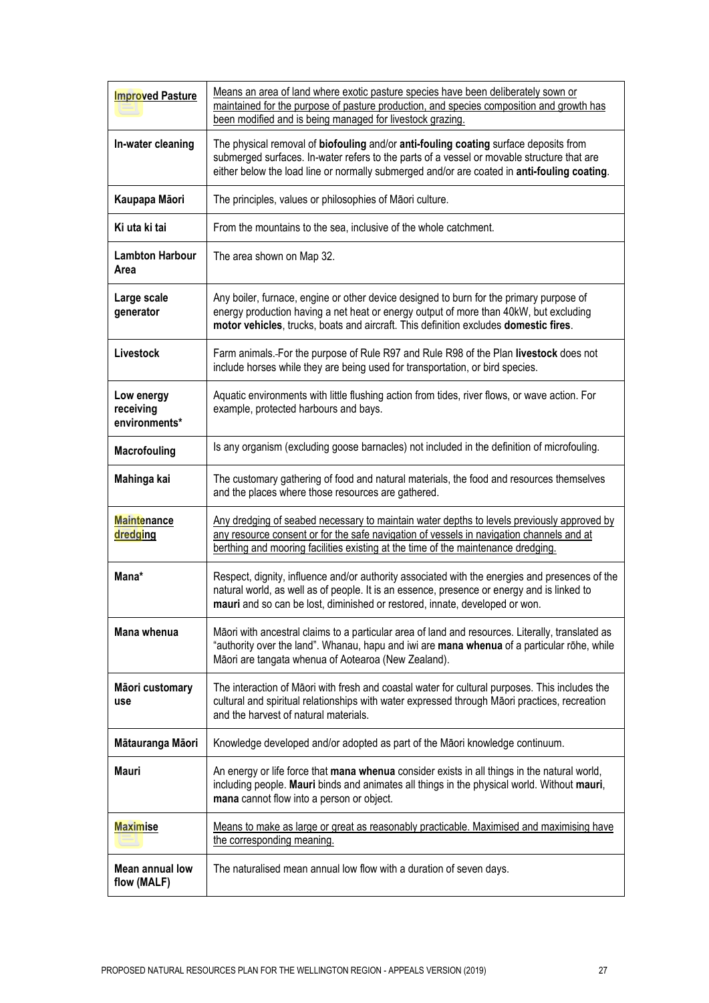| <b>Improved Pasture</b>                  | Means an area of land where exotic pasture species have been deliberately sown or<br>maintained for the purpose of pasture production, and species composition and growth has<br>been modified and is being managed for livestock grazing.                                        |
|------------------------------------------|-----------------------------------------------------------------------------------------------------------------------------------------------------------------------------------------------------------------------------------------------------------------------------------|
| In-water cleaning                        | The physical removal of biofouling and/or anti-fouling coating surface deposits from<br>submerged surfaces. In-water refers to the parts of a vessel or movable structure that are<br>either below the load line or normally submerged and/or are coated in anti-fouling coating. |
| Kaupapa Māori                            | The principles, values or philosophies of Māori culture.                                                                                                                                                                                                                          |
| Ki uta ki tai                            | From the mountains to the sea, inclusive of the whole catchment.                                                                                                                                                                                                                  |
| <b>Lambton Harbour</b><br>Area           | The area shown on Map 32.                                                                                                                                                                                                                                                         |
| Large scale<br>generator                 | Any boiler, furnace, engine or other device designed to burn for the primary purpose of<br>energy production having a net heat or energy output of more than 40kW, but excluding<br>motor vehicles, trucks, boats and aircraft. This definition excludes domestic fires.          |
| Livestock                                | Farm animals. For the purpose of Rule R97 and Rule R98 of the Plan livestock does not<br>include horses while they are being used for transportation, or bird species.                                                                                                            |
| Low energy<br>receiving<br>environments* | Aquatic environments with little flushing action from tides, river flows, or wave action. For<br>example, protected harbours and bays.                                                                                                                                            |
| <b>Macrofouling</b>                      | Is any organism (excluding goose barnacles) not included in the definition of microfouling.                                                                                                                                                                                       |
| Mahinga kai                              | The customary gathering of food and natural materials, the food and resources themselves<br>and the places where those resources are gathered.                                                                                                                                    |
| <b>Maintenance</b><br>dredging           | Any dredging of seabed necessary to maintain water depths to levels previously approved by<br>any resource consent or for the safe navigation of vessels in navigation channels and at<br>berthing and mooring facilities existing at the time of the maintenance dredging.       |
| Mana*                                    | Respect, dignity, influence and/or authority associated with the energies and presences of the<br>natural world, as well as of people. It is an essence, presence or energy and is linked to<br>mauri and so can be lost, diminished or restored, innate, developed or won.       |
| Mana whenua                              | Māori with ancestral claims to a particular area of land and resources. Literally, translated as<br>"authority over the land". Whanau, hapu and iwi are mana whenua of a particular rohe, while<br>Māori are tangata whenua of Aotearoa (New Zealand).                            |
| Māori customary<br>use                   | The interaction of Māori with fresh and coastal water for cultural purposes. This includes the<br>cultural and spiritual relationships with water expressed through Māori practices, recreation<br>and the harvest of natural materials.                                          |
| Mātauranga Māori                         | Knowledge developed and/or adopted as part of the Māori knowledge continuum.                                                                                                                                                                                                      |
| Mauri                                    | An energy or life force that mana whenua consider exists in all things in the natural world,<br>including people. Mauri binds and animates all things in the physical world. Without mauri,<br>mana cannot flow into a person or object.                                          |
| <b>Maximise</b>                          | Means to make as large or great as reasonably practicable. Maximised and maximising have<br>the corresponding meaning.                                                                                                                                                            |
| <b>Mean annual low</b><br>flow (MALF)    | The naturalised mean annual low flow with a duration of seven days.                                                                                                                                                                                                               |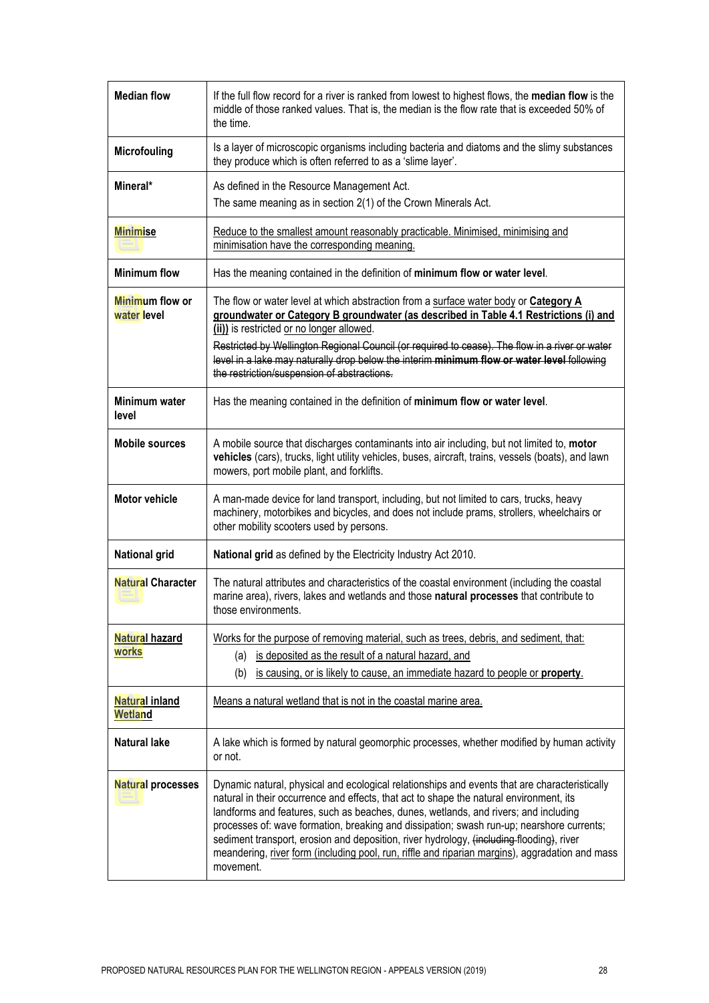| <b>Median flow</b>               | If the full flow record for a river is ranked from lowest to highest flows, the median flow is the<br>middle of those ranked values. That is, the median is the flow rate that is exceeded 50% of<br>the time.                                                                                                                                                                                                                                                                                                                                                                           |
|----------------------------------|------------------------------------------------------------------------------------------------------------------------------------------------------------------------------------------------------------------------------------------------------------------------------------------------------------------------------------------------------------------------------------------------------------------------------------------------------------------------------------------------------------------------------------------------------------------------------------------|
| <b>Microfouling</b>              | Is a layer of microscopic organisms including bacteria and diatoms and the slimy substances<br>they produce which is often referred to as a 'slime layer'.                                                                                                                                                                                                                                                                                                                                                                                                                               |
| Mineral*                         | As defined in the Resource Management Act.<br>The same meaning as in section 2(1) of the Crown Minerals Act.                                                                                                                                                                                                                                                                                                                                                                                                                                                                             |
| <b>Minimise</b>                  | Reduce to the smallest amount reasonably practicable. Minimised, minimising and<br>minimisation have the corresponding meaning.                                                                                                                                                                                                                                                                                                                                                                                                                                                          |
| <b>Minimum flow</b>              | Has the meaning contained in the definition of minimum flow or water level.                                                                                                                                                                                                                                                                                                                                                                                                                                                                                                              |
| Minimum flow or<br>water level   | The flow or water level at which abstraction from a surface water body or Category A<br>groundwater or Category B groundwater (as described in Table 4.1 Restrictions (i) and<br>(ii)) is restricted or no longer allowed.<br>Restricted by Wellington Regional Council (or required to cease). The flow in a river or water<br>level in a lake may naturally drop below the interim minimum flow or water level following<br>the restriction/suspension of abstractions.                                                                                                                |
| Minimum water<br>level           | Has the meaning contained in the definition of minimum flow or water level.                                                                                                                                                                                                                                                                                                                                                                                                                                                                                                              |
| <b>Mobile sources</b>            | A mobile source that discharges contaminants into air including, but not limited to, motor<br>vehicles (cars), trucks, light utility vehicles, buses, aircraft, trains, vessels (boats), and lawn<br>mowers, port mobile plant, and forklifts.                                                                                                                                                                                                                                                                                                                                           |
| <b>Motor vehicle</b>             | A man-made device for land transport, including, but not limited to cars, trucks, heavy<br>machinery, motorbikes and bicycles, and does not include prams, strollers, wheelchairs or<br>other mobility scooters used by persons.                                                                                                                                                                                                                                                                                                                                                         |
| <b>National grid</b>             | National grid as defined by the Electricity Industry Act 2010.                                                                                                                                                                                                                                                                                                                                                                                                                                                                                                                           |
| <b>Natural Character</b>         | The natural attributes and characteristics of the coastal environment (including the coastal<br>marine area), rivers, lakes and wetlands and those natural processes that contribute to<br>those environments.                                                                                                                                                                                                                                                                                                                                                                           |
| Natural hazard<br>works          | Works for the purpose of removing material, such as trees, debris, and sediment, that:<br>(a) is deposited as the result of a natural hazard, and<br>is causing, or is likely to cause, an immediate hazard to people or property.<br>(b)                                                                                                                                                                                                                                                                                                                                                |
| <b>Natural inland</b><br>Wetland | Means a natural wetland that is not in the coastal marine area.                                                                                                                                                                                                                                                                                                                                                                                                                                                                                                                          |
| <b>Natural lake</b>              | A lake which is formed by natural geomorphic processes, whether modified by human activity<br>or not.                                                                                                                                                                                                                                                                                                                                                                                                                                                                                    |
| <b>Natural processes</b>         | Dynamic natural, physical and ecological relationships and events that are characteristically<br>natural in their occurrence and effects, that act to shape the natural environment, its<br>landforms and features, such as beaches, dunes, wetlands, and rivers; and including<br>processes of: wave formation, breaking and dissipation; swash run-up; nearshore currents;<br>sediment transport, erosion and deposition, river hydrology, (including flooding), river<br>meandering, river form (including pool, run, riffle and riparian margins), aggradation and mass<br>movement. |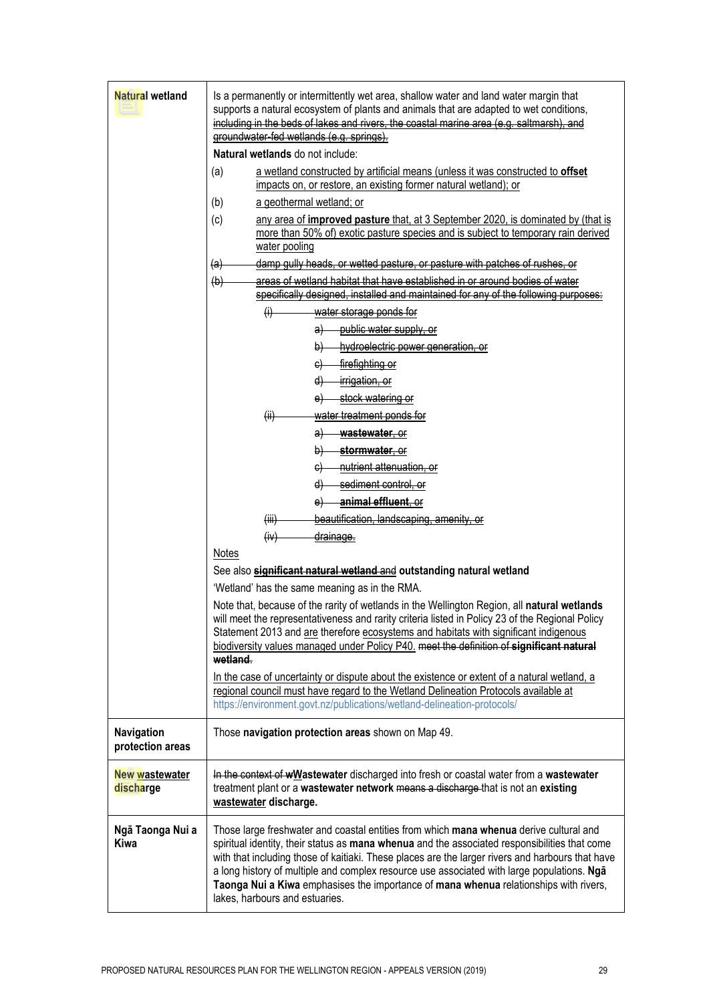| <b>Natural wetland</b>         | Is a permanently or intermittently wet area, shallow water and land water margin that<br>supports a natural ecosystem of plants and animals that are adapted to wet conditions,<br>including in the beds of lakes and rivers, the coastal marine area (e.g. saltmarsh), and<br>groundwater-fed wetlands (e.g. springs).<br>Natural wetlands do not include:<br>a wetland constructed by artificial means (unless it was constructed to offset<br>(a)<br>impacts on, or restore, an existing former natural wetland); or<br>a geothermal wetland; or<br>(b)<br>(c)<br>any area of improved pasture that, at 3 September 2020, is dominated by (that is<br>more than 50% of) exotic pasture species and is subject to temporary rain derived<br>water pooling     |
|--------------------------------|-----------------------------------------------------------------------------------------------------------------------------------------------------------------------------------------------------------------------------------------------------------------------------------------------------------------------------------------------------------------------------------------------------------------------------------------------------------------------------------------------------------------------------------------------------------------------------------------------------------------------------------------------------------------------------------------------------------------------------------------------------------------|
|                                | damp gully heads, or wetted pasture, or pasture with patches of rushes, or<br>(a)<br>areas of wetland habitat that have established in or around bodies of water<br>(b)<br>specifically designed, installed and maintained for any of the following purposes:<br>$\theta$<br>water storage ponds for<br>public water supply, or<br>a)<br>hydroelectric power generation, or<br>þ)<br>firefighting or<br>$\Theta$<br>irrigation, or<br>$\vert d \vert$<br>stock watering or                                                                                                                                                                                                                                                                                      |
|                                | water treatment ponds for<br>$\left(\mathsf{ii}\right)$<br>wastewater, or<br>a)<br>stormwater, or<br>$\vert \mathbf{p} \vert$<br>nutrient attenuation, or<br>$\Theta$<br>sediment control, or<br>$\left( \mathrm{d} \right)$<br>animal effluent, or<br>e)<br>beautification, landscaping, amenity, or<br>(iii)<br>(iv)<br>drainage.<br>Notes<br>See also significant natural wetland and outstanding natural wetland<br>'Wetland' has the same meaning as in the RMA.<br>Note that, because of the rarity of wetlands in the Wellington Region, all natural wetlands<br>will meet the representativeness and rarity criteria listed in Policy 23 of the Regional Policy<br>Statement 2013 and are therefore ecosystems and habitats with significant indigenous |
|                                | biodiversity values managed under Policy P40. meet the definition of significant natural<br>wetland.<br>In the case of uncertainty or dispute about the existence or extent of a natural wetland, a<br>regional council must have regard to the Wetland Delineation Protocols available at<br>https://environment.govt.nz/publications/wetland-delineation-protocols/                                                                                                                                                                                                                                                                                                                                                                                           |
| Navigation<br>protection areas | Those navigation protection areas shown on Map 49.                                                                                                                                                                                                                                                                                                                                                                                                                                                                                                                                                                                                                                                                                                              |
| New wastewater<br>discharge    | In the context of wWastewater discharged into fresh or coastal water from a wastewater<br>treatment plant or a wastewater network means a discharge that is not an existing<br>wastewater discharge.                                                                                                                                                                                                                                                                                                                                                                                                                                                                                                                                                            |
| Ngā Taonga Nui a<br>Kiwa       | Those large freshwater and coastal entities from which mana whenua derive cultural and<br>spiritual identity, their status as mana whenua and the associated responsibilities that come<br>with that including those of kaitiaki. These places are the larger rivers and harbours that have<br>a long history of multiple and complex resource use associated with large populations. Nga<br>Taonga Nui a Kiwa emphasises the importance of mana whenua relationships with rivers,<br>lakes, harbours and estuaries.                                                                                                                                                                                                                                            |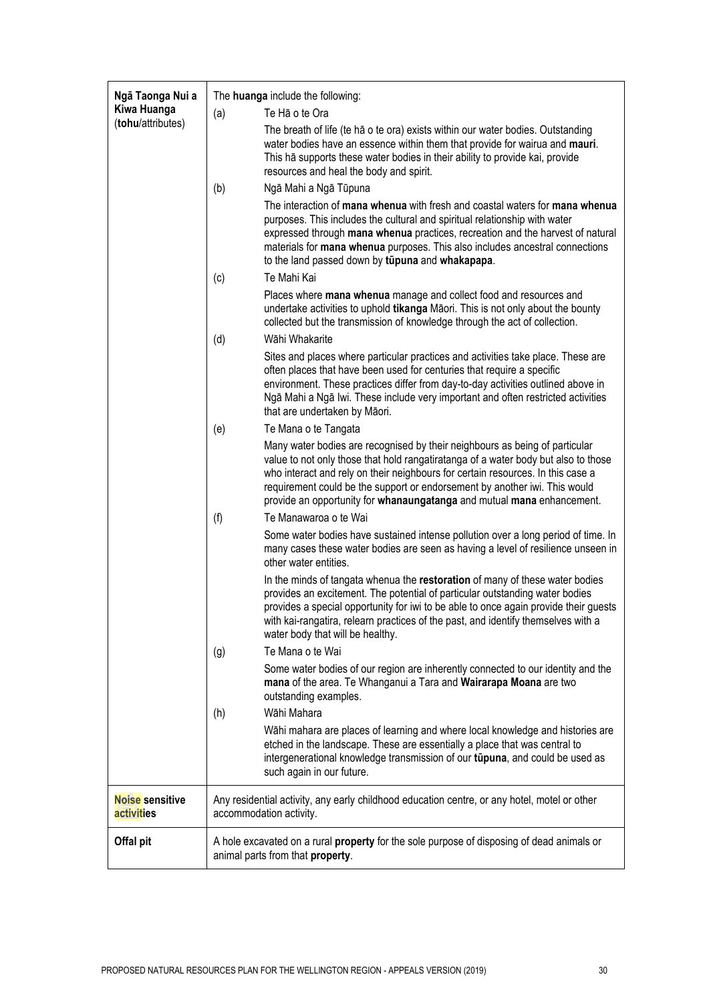| Ngā Taonga Nui a<br>Kiwa Huanga<br>(tohu/attributes) |     | The huanga include the following:                                                                                                                                                                                                                                                                                                                                                                            |
|------------------------------------------------------|-----|--------------------------------------------------------------------------------------------------------------------------------------------------------------------------------------------------------------------------------------------------------------------------------------------------------------------------------------------------------------------------------------------------------------|
|                                                      | (a) | Te Hã o te Ora                                                                                                                                                                                                                                                                                                                                                                                               |
|                                                      |     | The breath of life (te hā o te ora) exists within our water bodies. Outstanding<br>water bodies have an essence within them that provide for wairua and mauri.<br>This hā supports these water bodies in their ability to provide kai, provide<br>resources and heal the body and spirit.                                                                                                                    |
|                                                      | (b) | Ngā Mahi a Ngā Tūpuna                                                                                                                                                                                                                                                                                                                                                                                        |
|                                                      |     | The interaction of mana whenua with fresh and coastal waters for mana whenua<br>purposes. This includes the cultural and spiritual relationship with water<br>expressed through mana whenua practices, recreation and the harvest of natural<br>materials for mana whenua purposes. This also includes ancestral connections<br>to the land passed down by tupuna and whakapapa.                             |
|                                                      | (c) | Te Mahi Kai                                                                                                                                                                                                                                                                                                                                                                                                  |
|                                                      |     | Places where mana whenua manage and collect food and resources and<br>undertake activities to uphold tikanga Māori. This is not only about the bounty<br>collected but the transmission of knowledge through the act of collection.                                                                                                                                                                          |
|                                                      | (d) | Wāhi Whakarite                                                                                                                                                                                                                                                                                                                                                                                               |
|                                                      |     | Sites and places where particular practices and activities take place. These are<br>often places that have been used for centuries that require a specific<br>environment. These practices differ from day-to-day activities outlined above in<br>Ngā Mahi a Ngā Iwi. These include very important and often restricted activities<br>that are undertaken by Māori.                                          |
|                                                      | (e) | Te Mana o te Tangata                                                                                                                                                                                                                                                                                                                                                                                         |
|                                                      |     | Many water bodies are recognised by their neighbours as being of particular<br>value to not only those that hold rangatiratanga of a water body but also to those<br>who interact and rely on their neighbours for certain resources. In this case a<br>requirement could be the support or endorsement by another iwi. This would<br>provide an opportunity for whanaungatanga and mutual mana enhancement. |
|                                                      | (f) | Te Manawaroa o te Wai                                                                                                                                                                                                                                                                                                                                                                                        |
|                                                      |     | Some water bodies have sustained intense pollution over a long period of time. In<br>many cases these water bodies are seen as having a level of resilience unseen in<br>other water entities.                                                                                                                                                                                                               |
|                                                      |     | In the minds of tangata whenua the restoration of many of these water bodies<br>provides an excitement. The potential of particular outstanding water bodies<br>provides a special opportunity for iwi to be able to once again provide their guests<br>with kai-rangatira, relearn practices of the past, and identify themselves with a<br>water body that will be healthy.                                |
|                                                      | (g) | Te Mana o te Wai                                                                                                                                                                                                                                                                                                                                                                                             |
|                                                      |     | Some water bodies of our region are inherently connected to our identity and the<br>mana of the area. Te Whanganui a Tara and Wairarapa Moana are two<br>outstanding examples.                                                                                                                                                                                                                               |
|                                                      | (h) | Wāhi Mahara                                                                                                                                                                                                                                                                                                                                                                                                  |
|                                                      |     | Wāhi mahara are places of learning and where local knowledge and histories are<br>etched in the landscape. These are essentially a place that was central to<br>intergenerational knowledge transmission of our tūpuna, and could be used as<br>such again in our future.                                                                                                                                    |
| Noise sensitive<br>activities                        |     | Any residential activity, any early childhood education centre, or any hotel, motel or other<br>accommodation activity.                                                                                                                                                                                                                                                                                      |
| Offal pit                                            |     | A hole excavated on a rural <b>property</b> for the sole purpose of disposing of dead animals or<br>animal parts from that property.                                                                                                                                                                                                                                                                         |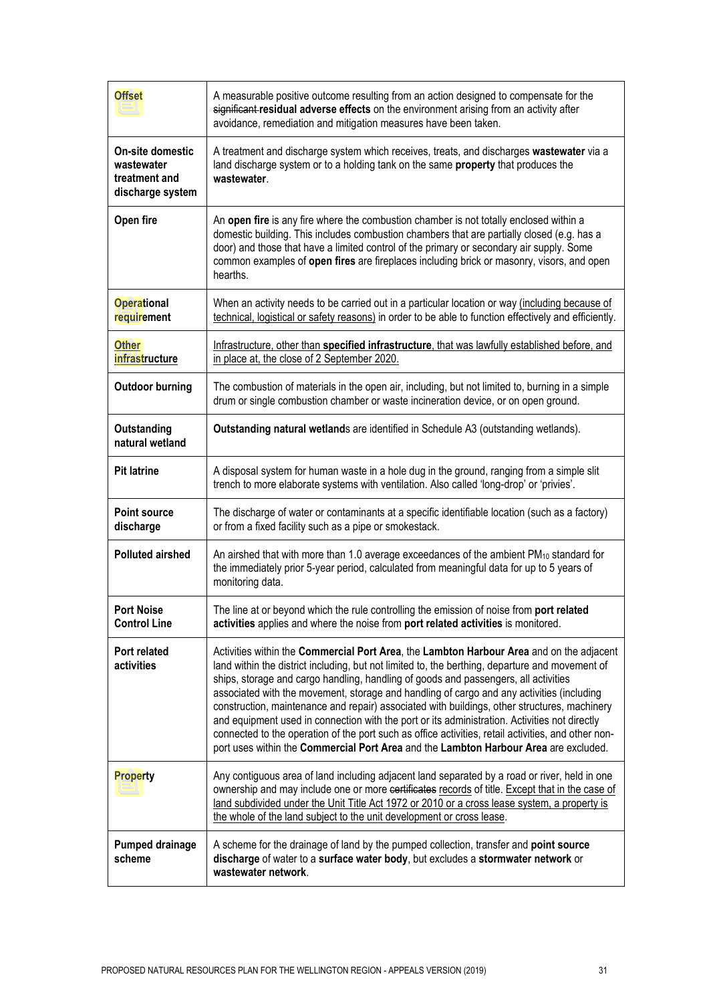| <b>Offset</b>                                                              | A measurable positive outcome resulting from an action designed to compensate for the<br>significant residual adverse effects on the environment arising from an activity after<br>avoidance, remediation and mitigation measures have been taken.                                                                                                                                                                                                                                                                                                                                                                                                                                                                                                                              |
|----------------------------------------------------------------------------|---------------------------------------------------------------------------------------------------------------------------------------------------------------------------------------------------------------------------------------------------------------------------------------------------------------------------------------------------------------------------------------------------------------------------------------------------------------------------------------------------------------------------------------------------------------------------------------------------------------------------------------------------------------------------------------------------------------------------------------------------------------------------------|
| <b>On-site domestic</b><br>wastewater<br>treatment and<br>discharge system | A treatment and discharge system which receives, treats, and discharges wastewater via a<br>land discharge system or to a holding tank on the same property that produces the<br>wastewater.                                                                                                                                                                                                                                                                                                                                                                                                                                                                                                                                                                                    |
| Open fire                                                                  | An open fire is any fire where the combustion chamber is not totally enclosed within a<br>domestic building. This includes combustion chambers that are partially closed (e.g. has a<br>door) and those that have a limited control of the primary or secondary air supply. Some<br>common examples of open fires are fireplaces including brick or masonry, visors, and open<br>hearths.                                                                                                                                                                                                                                                                                                                                                                                       |
| <b>Operational</b><br>requirement                                          | When an activity needs to be carried out in a particular location or way (including because of<br>technical, logistical or safety reasons) in order to be able to function effectively and efficiently.                                                                                                                                                                                                                                                                                                                                                                                                                                                                                                                                                                         |
| Other<br>infrastructure                                                    | Infrastructure, other than specified infrastructure, that was lawfully established before, and<br>in place at, the close of 2 September 2020.                                                                                                                                                                                                                                                                                                                                                                                                                                                                                                                                                                                                                                   |
| <b>Outdoor burning</b>                                                     | The combustion of materials in the open air, including, but not limited to, burning in a simple<br>drum or single combustion chamber or waste incineration device, or on open ground.                                                                                                                                                                                                                                                                                                                                                                                                                                                                                                                                                                                           |
| Outstanding<br>natural wetland                                             | Outstanding natural wetlands are identified in Schedule A3 (outstanding wetlands).                                                                                                                                                                                                                                                                                                                                                                                                                                                                                                                                                                                                                                                                                              |
| <b>Pit latrine</b>                                                         | A disposal system for human waste in a hole dug in the ground, ranging from a simple slit<br>trench to more elaborate systems with ventilation. Also called 'long-drop' or 'privies'.                                                                                                                                                                                                                                                                                                                                                                                                                                                                                                                                                                                           |
| <b>Point source</b><br>discharge                                           | The discharge of water or contaminants at a specific identifiable location (such as a factory)<br>or from a fixed facility such as a pipe or smokestack.                                                                                                                                                                                                                                                                                                                                                                                                                                                                                                                                                                                                                        |
| <b>Polluted airshed</b>                                                    | An airshed that with more than 1.0 average exceedances of the ambient PM <sub>10</sub> standard for<br>the immediately prior 5-year period, calculated from meaningful data for up to 5 years of<br>monitoring data.                                                                                                                                                                                                                                                                                                                                                                                                                                                                                                                                                            |
| <b>Port Noise</b><br><b>Control Line</b>                                   | The line at or beyond which the rule controlling the emission of noise from port related<br>activities applies and where the noise from port related activities is monitored.                                                                                                                                                                                                                                                                                                                                                                                                                                                                                                                                                                                                   |
| Port related<br>activities                                                 | Activities within the Commercial Port Area, the Lambton Harbour Area and on the adjacent<br>land within the district including, but not limited to, the berthing, departure and movement of<br>ships, storage and cargo handling, handling of goods and passengers, all activities<br>associated with the movement, storage and handling of cargo and any activities (including<br>construction, maintenance and repair) associated with buildings, other structures, machinery<br>and equipment used in connection with the port or its administration. Activities not directly<br>connected to the operation of the port such as office activities, retail activities, and other non-<br>port uses within the Commercial Port Area and the Lambton Harbour Area are excluded. |
| Property                                                                   | Any contiguous area of land including adjacent land separated by a road or river, held in one<br>ownership and may include one or more certificates records of title. Except that in the case of<br>land subdivided under the Unit Title Act 1972 or 2010 or a cross lease system, a property is<br>the whole of the land subject to the unit development or cross lease.                                                                                                                                                                                                                                                                                                                                                                                                       |
| <b>Pumped drainage</b><br>scheme                                           | A scheme for the drainage of land by the pumped collection, transfer and point source<br>discharge of water to a surface water body, but excludes a stormwater network or<br>wastewater network.                                                                                                                                                                                                                                                                                                                                                                                                                                                                                                                                                                                |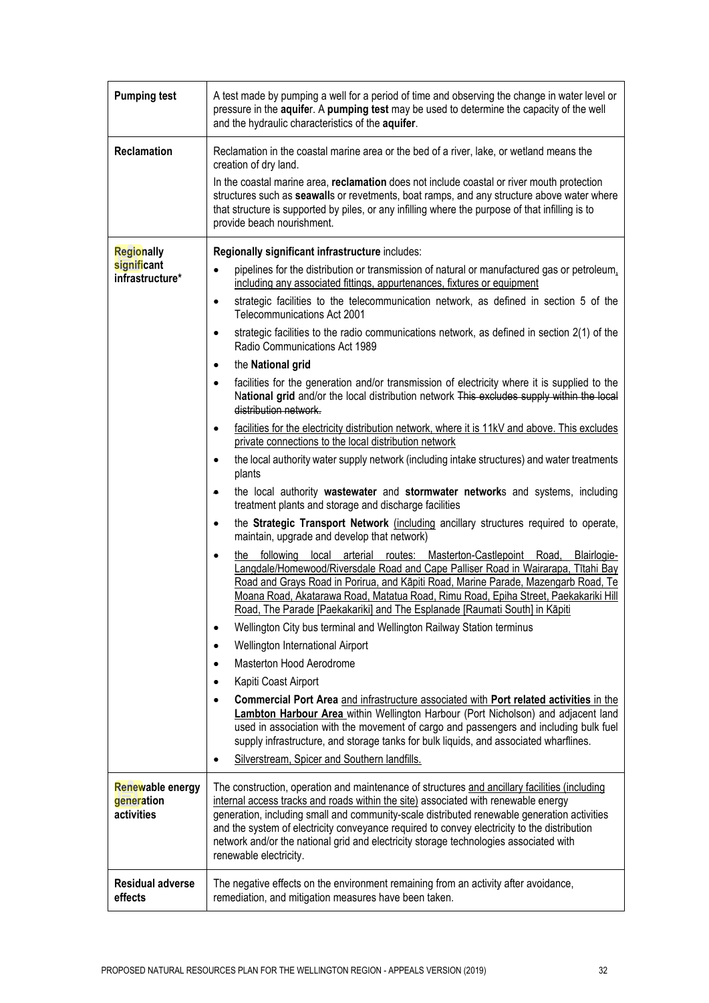| <b>Pumping test</b>                                                                                 | A test made by pumping a well for a period of time and observing the change in water level or<br>pressure in the aquifer. A pumping test may be used to determine the capacity of the well<br>and the hydraulic characteristics of the aquifer.                                                                                                                                                                                                                                                                                                                                                                                                                                                                                                                                                                                                                                                                                                                                                                                                                                                                                                                                                                                                                                                                                                                                                                                                                                                                                                                                                                                                                                                                                                                                                                                                                                                                                                                                                                                                                                                                                                                                                                                                                                                                                                                                                                                                                                                                                                                                                                                                                                                                                                                                                                    |
|-----------------------------------------------------------------------------------------------------|--------------------------------------------------------------------------------------------------------------------------------------------------------------------------------------------------------------------------------------------------------------------------------------------------------------------------------------------------------------------------------------------------------------------------------------------------------------------------------------------------------------------------------------------------------------------------------------------------------------------------------------------------------------------------------------------------------------------------------------------------------------------------------------------------------------------------------------------------------------------------------------------------------------------------------------------------------------------------------------------------------------------------------------------------------------------------------------------------------------------------------------------------------------------------------------------------------------------------------------------------------------------------------------------------------------------------------------------------------------------------------------------------------------------------------------------------------------------------------------------------------------------------------------------------------------------------------------------------------------------------------------------------------------------------------------------------------------------------------------------------------------------------------------------------------------------------------------------------------------------------------------------------------------------------------------------------------------------------------------------------------------------------------------------------------------------------------------------------------------------------------------------------------------------------------------------------------------------------------------------------------------------------------------------------------------------------------------------------------------------------------------------------------------------------------------------------------------------------------------------------------------------------------------------------------------------------------------------------------------------------------------------------------------------------------------------------------------------------------------------------------------------------------------------------------------------|
| <b>Reclamation</b>                                                                                  | Reclamation in the coastal marine area or the bed of a river, lake, or wetland means the<br>creation of dry land.<br>In the coastal marine area, reclamation does not include coastal or river mouth protection<br>structures such as seawalls or revetments, boat ramps, and any structure above water where<br>that structure is supported by piles, or any infilling where the purpose of that infilling is to<br>provide beach nourishment.                                                                                                                                                                                                                                                                                                                                                                                                                                                                                                                                                                                                                                                                                                                                                                                                                                                                                                                                                                                                                                                                                                                                                                                                                                                                                                                                                                                                                                                                                                                                                                                                                                                                                                                                                                                                                                                                                                                                                                                                                                                                                                                                                                                                                                                                                                                                                                    |
| <b>Regionally</b><br>significant<br>infrastructure*<br>Renewable energy<br>generation<br>activities | Regionally significant infrastructure includes:<br>pipelines for the distribution or transmission of natural or manufactured gas or petroleum.<br>$\bullet$<br>including any associated fittings, appurtenances, fixtures or equipment<br>strategic facilities to the telecommunication network, as defined in section 5 of the<br>$\bullet$<br>Telecommunications Act 2001<br>strategic facilities to the radio communications network, as defined in section 2(1) of the<br>$\bullet$<br>Radio Communications Act 1989<br>the National grid<br>$\bullet$<br>facilities for the generation and/or transmission of electricity where it is supplied to the<br>$\bullet$<br>National grid and/or the local distribution network This excludes supply within the local<br>distribution network.<br>facilities for the electricity distribution network, where it is 11kV and above. This excludes<br>$\bullet$<br>private connections to the local distribution network<br>the local authority water supply network (including intake structures) and water treatments<br>$\bullet$<br>plants<br>the local authority wastewater and stormwater networks and systems, including<br>۰<br>treatment plants and storage and discharge facilities<br>the Strategic Transport Network (including ancillary structures required to operate,<br>$\bullet$<br>maintain, upgrade and develop that network)<br>routes: Masterton-Castlepoint<br>following<br>Blairlogie-<br>local<br>arterial<br>Road,<br>the<br>$\bullet$<br>Langdale/Homewood/Riversdale Road and Cape Palliser Road in Wairarapa, Tītahi Bay<br>Road and Grays Road in Porirua, and Kāpiti Road, Marine Parade, Mazengarb Road, Te<br>Moana Road, Akatarawa Road, Matatua Road, Rimu Road, Epiha Street, Paekakariki Hill<br>Road, The Parade [Paekakariki] and The Esplanade [Raumati South] in Kāpiti<br>Wellington City bus terminal and Wellington Railway Station terminus<br>$\bullet$<br>Wellington International Airport<br>$\bullet$<br>Masterton Hood Aerodrome<br>$\bullet$<br>Kapiti Coast Airport<br>$\bullet$<br>Commercial Port Area and infrastructure associated with Port related activities in the<br>$\bullet$<br>Lambton Harbour Area within Wellington Harbour (Port Nicholson) and adjacent land<br>used in association with the movement of cargo and passengers and including bulk fuel<br>supply infrastructure, and storage tanks for bulk liquids, and associated wharflines.<br>Silverstream, Spicer and Southern landfills.<br>$\bullet$<br>The construction, operation and maintenance of structures and ancillary facilities (including<br>internal access tracks and roads within the site) associated with renewable energy<br>generation, including small and community-scale distributed renewable generation activities |
|                                                                                                     | and the system of electricity conveyance required to convey electricity to the distribution<br>network and/or the national grid and electricity storage technologies associated with<br>renewable electricity.                                                                                                                                                                                                                                                                                                                                                                                                                                                                                                                                                                                                                                                                                                                                                                                                                                                                                                                                                                                                                                                                                                                                                                                                                                                                                                                                                                                                                                                                                                                                                                                                                                                                                                                                                                                                                                                                                                                                                                                                                                                                                                                                                                                                                                                                                                                                                                                                                                                                                                                                                                                                     |
| <b>Residual adverse</b><br>effects                                                                  | The negative effects on the environment remaining from an activity after avoidance,<br>remediation, and mitigation measures have been taken.                                                                                                                                                                                                                                                                                                                                                                                                                                                                                                                                                                                                                                                                                                                                                                                                                                                                                                                                                                                                                                                                                                                                                                                                                                                                                                                                                                                                                                                                                                                                                                                                                                                                                                                                                                                                                                                                                                                                                                                                                                                                                                                                                                                                                                                                                                                                                                                                                                                                                                                                                                                                                                                                       |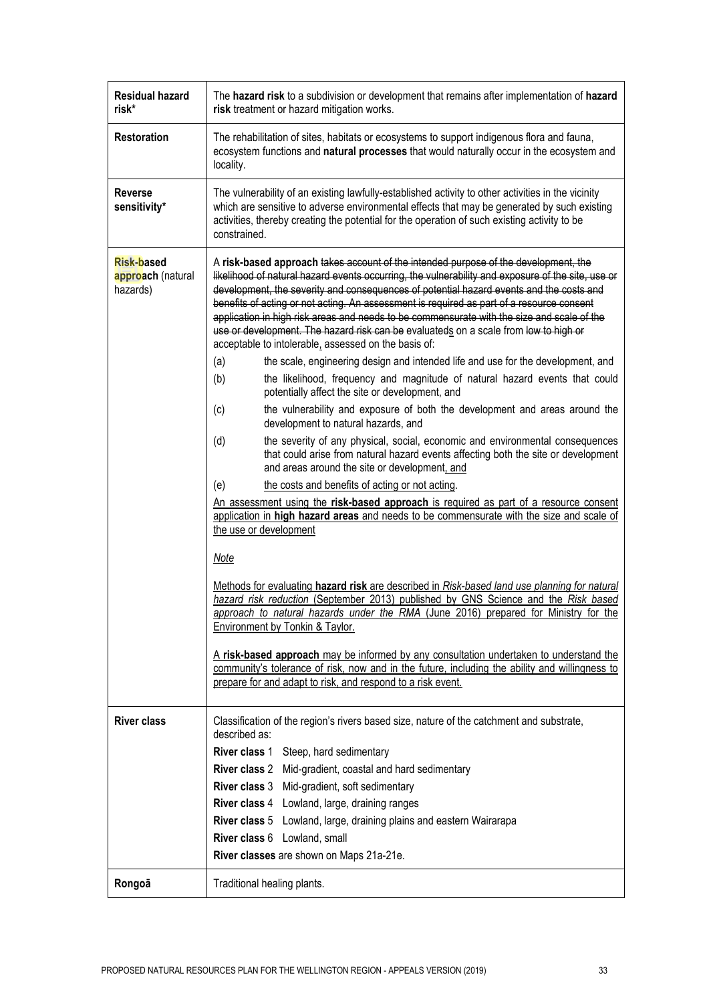| <b>Residual hazard</b><br>risk*                    | The hazard risk to a subdivision or development that remains after implementation of hazard<br>risk treatment or hazard mitigation works.                                                                                                                                                                                                                                                                                                                                                                                                                                                                                                                                                                                                                                                                                                                                                                                                                                                                                                                                                                                                                                                                                                                                                                                                                                                                                                                                                                                                                                                                                                                                                                                                                                                                                                                                                                                                                                                                                                                                                  |
|----------------------------------------------------|--------------------------------------------------------------------------------------------------------------------------------------------------------------------------------------------------------------------------------------------------------------------------------------------------------------------------------------------------------------------------------------------------------------------------------------------------------------------------------------------------------------------------------------------------------------------------------------------------------------------------------------------------------------------------------------------------------------------------------------------------------------------------------------------------------------------------------------------------------------------------------------------------------------------------------------------------------------------------------------------------------------------------------------------------------------------------------------------------------------------------------------------------------------------------------------------------------------------------------------------------------------------------------------------------------------------------------------------------------------------------------------------------------------------------------------------------------------------------------------------------------------------------------------------------------------------------------------------------------------------------------------------------------------------------------------------------------------------------------------------------------------------------------------------------------------------------------------------------------------------------------------------------------------------------------------------------------------------------------------------------------------------------------------------------------------------------------------------|
| <b>Restoration</b>                                 | The rehabilitation of sites, habitats or ecosystems to support indigenous flora and fauna,<br>ecosystem functions and natural processes that would naturally occur in the ecosystem and<br>locality.                                                                                                                                                                                                                                                                                                                                                                                                                                                                                                                                                                                                                                                                                                                                                                                                                                                                                                                                                                                                                                                                                                                                                                                                                                                                                                                                                                                                                                                                                                                                                                                                                                                                                                                                                                                                                                                                                       |
| <b>Reverse</b><br>sensitivity*                     | The vulnerability of an existing lawfully-established activity to other activities in the vicinity<br>which are sensitive to adverse environmental effects that may be generated by such existing<br>activities, thereby creating the potential for the operation of such existing activity to be<br>constrained.                                                                                                                                                                                                                                                                                                                                                                                                                                                                                                                                                                                                                                                                                                                                                                                                                                                                                                                                                                                                                                                                                                                                                                                                                                                                                                                                                                                                                                                                                                                                                                                                                                                                                                                                                                          |
| <b>Risk-based</b><br>approach (natural<br>hazards) | A risk-based approach takes account of the intended purpose of the development, the<br>likelihood of natural hazard events occurring, the vulnerability and exposure of the site, use or<br>development, the severity and consequences of potential hazard events and the costs and<br>benefits of acting or not acting. An assessment is required as part of a resource consent<br>application in high risk areas and needs to be commensurate with the size and scale of the<br>use or development. The hazard risk can be evaluateds on a scale from low to high or<br>acceptable to intolerable, assessed on the basis of:<br>(a)<br>the scale, engineering design and intended life and use for the development, and<br>the likelihood, frequency and magnitude of natural hazard events that could<br>(b)<br>potentially affect the site or development, and<br>the vulnerability and exposure of both the development and areas around the<br>(c)<br>development to natural hazards, and<br>the severity of any physical, social, economic and environmental consequences<br>(d)<br>that could arise from natural hazard events affecting both the site or development<br>and areas around the site or development, and<br>the costs and benefits of acting or not acting.<br>(e)<br>An assessment using the risk-based approach is required as part of a resource consent<br>application in high hazard areas and needs to be commensurate with the size and scale of<br>the use or development<br>Note<br>Methods for evaluating hazard risk are described in Risk-based land use planning for natural<br>hazard risk reduction (September 2013) published by GNS Science and the Risk based<br>approach to natural hazards under the RMA (June 2016) prepared for Ministry for the<br>Environment by Tonkin & Taylor.<br>A risk-based approach may be informed by any consultation undertaken to understand the<br>community's tolerance of risk, now and in the future, including the ability and willingness to<br>prepare for and adapt to risk, and respond to a risk event. |
| <b>River class</b>                                 | Classification of the region's rivers based size, nature of the catchment and substrate,<br>described as:<br>River class 1 Steep, hard sedimentary<br>River class 2 Mid-gradient, coastal and hard sedimentary<br>River class 3 Mid-gradient, soft sedimentary<br>River class 4 Lowland, large, draining ranges<br>River class 5 Lowland, large, draining plains and eastern Wairarapa<br>River class 6 Lowland, small<br>River classes are shown on Maps 21a-21e.                                                                                                                                                                                                                                                                                                                                                                                                                                                                                                                                                                                                                                                                                                                                                                                                                                                                                                                                                                                                                                                                                                                                                                                                                                                                                                                                                                                                                                                                                                                                                                                                                         |
| Rongoā                                             | Traditional healing plants.                                                                                                                                                                                                                                                                                                                                                                                                                                                                                                                                                                                                                                                                                                                                                                                                                                                                                                                                                                                                                                                                                                                                                                                                                                                                                                                                                                                                                                                                                                                                                                                                                                                                                                                                                                                                                                                                                                                                                                                                                                                                |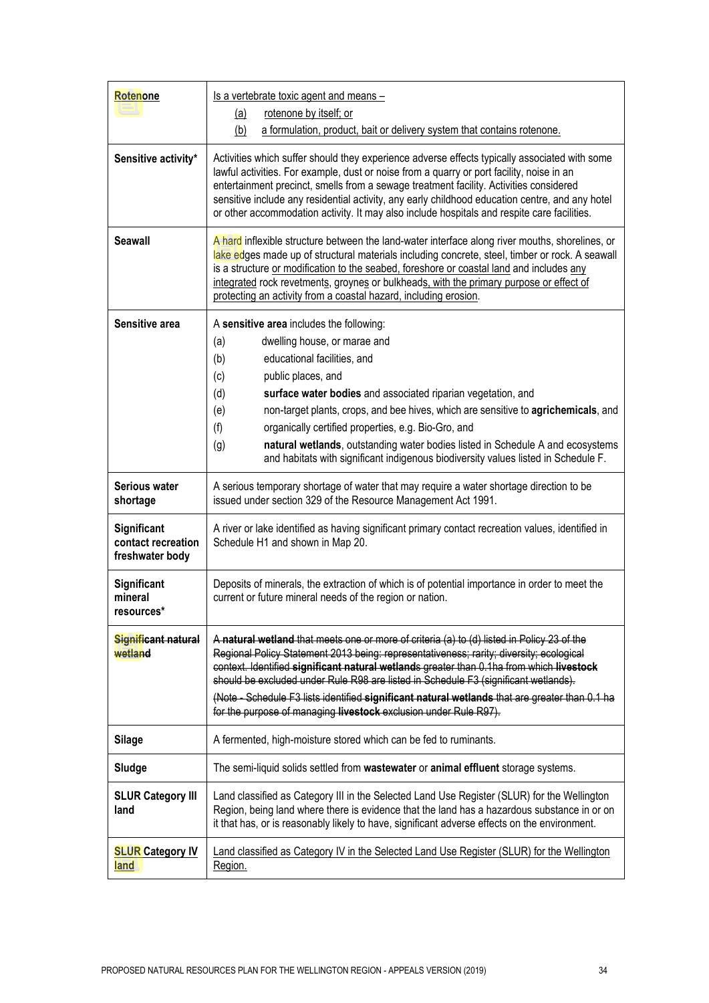| Rotenone                                                    | Is a vertebrate toxic agent and means -<br>rotenone by itself; or<br><u>(a)</u>                                                                                                                                                                                                                                                                                                                                                                                                                                                                                     |
|-------------------------------------------------------------|---------------------------------------------------------------------------------------------------------------------------------------------------------------------------------------------------------------------------------------------------------------------------------------------------------------------------------------------------------------------------------------------------------------------------------------------------------------------------------------------------------------------------------------------------------------------|
|                                                             | (b)<br>a formulation, product, bait or delivery system that contains rotenone.                                                                                                                                                                                                                                                                                                                                                                                                                                                                                      |
| Sensitive activity*                                         | Activities which suffer should they experience adverse effects typically associated with some<br>lawful activities. For example, dust or noise from a quarry or port facility, noise in an<br>entertainment precinct, smells from a sewage treatment facility. Activities considered<br>sensitive include any residential activity, any early childhood education centre, and any hotel<br>or other accommodation activity. It may also include hospitals and respite care facilities.                                                                              |
| <b>Seawall</b>                                              | A hard inflexible structure between the land-water interface along river mouths, shorelines, or<br>lake edges made up of structural materials including concrete, steel, timber or rock. A seawall<br>is a structure or modification to the seabed, foreshore or coastal land and includes any<br>integrated rock revetments, groynes or bulkheads, with the primary purpose or effect of<br>protecting an activity from a coastal hazard, including erosion.                                                                                                       |
| Sensitive area                                              | A sensitive area includes the following:<br>dwelling house, or marae and<br>(a)<br>educational facilities, and<br>(b)<br>public places, and<br>(c)<br>(d)<br>surface water bodies and associated riparian vegetation, and<br>non-target plants, crops, and bee hives, which are sensitive to agrichemicals, and<br>(e)<br>(f)<br>organically certified properties, e.g. Bio-Gro, and<br>natural wetlands, outstanding water bodies listed in Schedule A and ecosystems<br>(g)<br>and habitats with significant indigenous biodiversity values listed in Schedule F. |
| Serious water                                               | A serious temporary shortage of water that may require a water shortage direction to be                                                                                                                                                                                                                                                                                                                                                                                                                                                                             |
| shortage                                                    | issued under section 329 of the Resource Management Act 1991.                                                                                                                                                                                                                                                                                                                                                                                                                                                                                                       |
| <b>Significant</b><br>contact recreation<br>freshwater body | A river or lake identified as having significant primary contact recreation values, identified in<br>Schedule H1 and shown in Map 20.                                                                                                                                                                                                                                                                                                                                                                                                                               |
| <b>Significant</b><br>mineral<br>resources*                 | Deposits of minerals, the extraction of which is of potential importance in order to meet the<br>current or future mineral needs of the region or nation.                                                                                                                                                                                                                                                                                                                                                                                                           |
| Significant natural<br>wetland                              | A natural wetland that meets one or more of criteria (a) to (d) listed in Policy 23 of the<br>Regional Policy Statement 2013 being: representativeness; rarity; diversity; ecological<br>context. Identified significant natural wetlands greater than 0.1ha from which livestock<br>should be excluded under Rule R98 are listed in Schedule F3 (significant wetlands).<br>(Note - Schedule F3 lists identified significant natural wetlands that are greater than 0.1 ha<br>for the purpose of managing livestock exclusion under Rule R97).                      |
| <b>Silage</b>                                               | A fermented, high-moisture stored which can be fed to ruminants.                                                                                                                                                                                                                                                                                                                                                                                                                                                                                                    |
| Sludge                                                      | The semi-liquid solids settled from wastewater or animal effluent storage systems.                                                                                                                                                                                                                                                                                                                                                                                                                                                                                  |
| <b>SLUR Category III</b><br>land                            | Land classified as Category III in the Selected Land Use Register (SLUR) for the Wellington<br>Region, being land where there is evidence that the land has a hazardous substance in or on<br>it that has, or is reasonably likely to have, significant adverse effects on the environment.                                                                                                                                                                                                                                                                         |
| <b>SLUR Category IV</b><br>land                             | Land classified as Category IV in the Selected Land Use Register (SLUR) for the Wellington<br>Region.                                                                                                                                                                                                                                                                                                                                                                                                                                                               |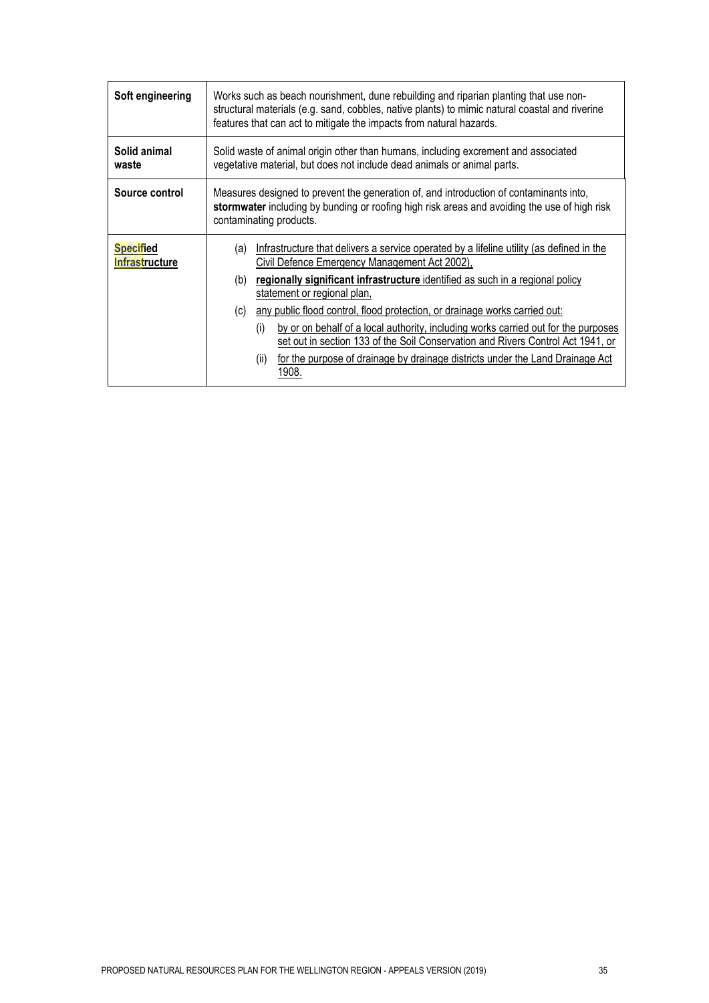| Soft engineering                          | Works such as beach nourishment, dune rebuilding and riparian planting that use non-<br>structural materials (e.g. sand, cobbles, native plants) to mimic natural coastal and riverine<br>features that can act to mitigate the impacts from natural hazards.                                                                                                                                                                                                                                                                                                                                                                                  |
|-------------------------------------------|------------------------------------------------------------------------------------------------------------------------------------------------------------------------------------------------------------------------------------------------------------------------------------------------------------------------------------------------------------------------------------------------------------------------------------------------------------------------------------------------------------------------------------------------------------------------------------------------------------------------------------------------|
| Solid animal<br>waste                     | Solid waste of animal origin other than humans, including excrement and associated<br>vegetative material, but does not include dead animals or animal parts.                                                                                                                                                                                                                                                                                                                                                                                                                                                                                  |
| Source control                            | Measures designed to prevent the generation of, and introduction of contaminants into,<br>stormwater including by bunding or roofing high risk areas and avoiding the use of high risk<br>contaminating products.                                                                                                                                                                                                                                                                                                                                                                                                                              |
| <b>Specified</b><br><b>Infrastructure</b> | Infrastructure that delivers a service operated by a lifeline utility (as defined in the<br>(a)<br>Civil Defence Emergency Management Act 2002).<br>regionally significant infrastructure identified as such in a regional policy<br>(b)<br>statement or regional plan,<br>any public flood control, flood protection, or drainage works carried out:<br>(c)<br>by or on behalf of a local authority, including works carried out for the purposes<br>(i)<br>set out in section 133 of the Soil Conservation and Rivers Control Act 1941, or<br>for the purpose of drainage by drainage districts under the Land Drainage Act<br>(ii)<br>1908. |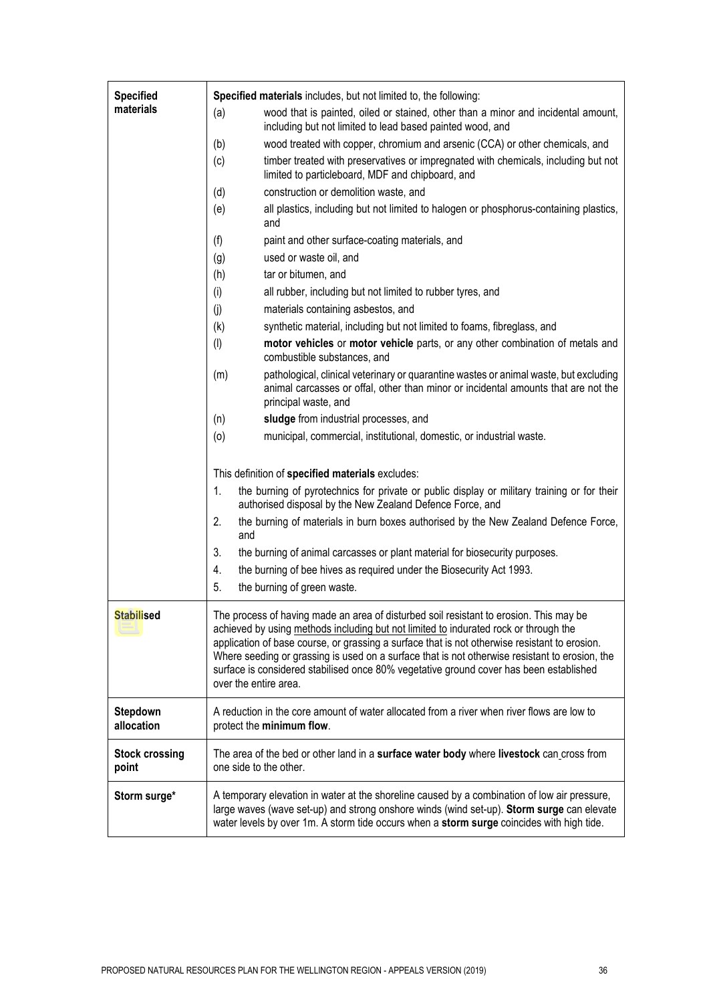| <b>Specified</b>               | Specified materials includes, but not limited to, the following:                                                                                                                                                                                                                                                                                                                                                                                                                                     |
|--------------------------------|------------------------------------------------------------------------------------------------------------------------------------------------------------------------------------------------------------------------------------------------------------------------------------------------------------------------------------------------------------------------------------------------------------------------------------------------------------------------------------------------------|
| materials                      | wood that is painted, oiled or stained, other than a minor and incidental amount,<br>(a)<br>including but not limited to lead based painted wood, and                                                                                                                                                                                                                                                                                                                                                |
|                                | wood treated with copper, chromium and arsenic (CCA) or other chemicals, and<br>(b)                                                                                                                                                                                                                                                                                                                                                                                                                  |
|                                | timber treated with preservatives or impregnated with chemicals, including but not<br>(c)<br>limited to particleboard, MDF and chipboard, and                                                                                                                                                                                                                                                                                                                                                        |
|                                | construction or demolition waste, and<br>(d)                                                                                                                                                                                                                                                                                                                                                                                                                                                         |
|                                | all plastics, including but not limited to halogen or phosphorus-containing plastics,<br>(e)<br>and                                                                                                                                                                                                                                                                                                                                                                                                  |
|                                | (f)<br>paint and other surface-coating materials, and                                                                                                                                                                                                                                                                                                                                                                                                                                                |
|                                | used or waste oil, and<br>(g)                                                                                                                                                                                                                                                                                                                                                                                                                                                                        |
|                                | (h)<br>tar or bitumen, and                                                                                                                                                                                                                                                                                                                                                                                                                                                                           |
|                                | (i)<br>all rubber, including but not limited to rubber tyres, and                                                                                                                                                                                                                                                                                                                                                                                                                                    |
|                                | (i)<br>materials containing asbestos, and                                                                                                                                                                                                                                                                                                                                                                                                                                                            |
|                                | (k)<br>synthetic material, including but not limited to foams, fibreglass, and                                                                                                                                                                                                                                                                                                                                                                                                                       |
|                                | motor vehicles or motor vehicle parts, or any other combination of metals and<br>$($ l $)$<br>combustible substances, and                                                                                                                                                                                                                                                                                                                                                                            |
|                                | pathological, clinical veterinary or quarantine wastes or animal waste, but excluding<br>(m)<br>animal carcasses or offal, other than minor or incidental amounts that are not the<br>principal waste, and                                                                                                                                                                                                                                                                                           |
|                                | sludge from industrial processes, and<br>(n)                                                                                                                                                                                                                                                                                                                                                                                                                                                         |
|                                | (0)<br>municipal, commercial, institutional, domestic, or industrial waste.                                                                                                                                                                                                                                                                                                                                                                                                                          |
|                                |                                                                                                                                                                                                                                                                                                                                                                                                                                                                                                      |
|                                | This definition of specified materials excludes:                                                                                                                                                                                                                                                                                                                                                                                                                                                     |
|                                | the burning of pyrotechnics for private or public display or military training or for their<br>1.<br>authorised disposal by the New Zealand Defence Force, and                                                                                                                                                                                                                                                                                                                                       |
|                                | 2.<br>the burning of materials in burn boxes authorised by the New Zealand Defence Force,<br>and                                                                                                                                                                                                                                                                                                                                                                                                     |
|                                | 3.<br>the burning of animal carcasses or plant material for biosecurity purposes.                                                                                                                                                                                                                                                                                                                                                                                                                    |
|                                | 4.<br>the burning of bee hives as required under the Biosecurity Act 1993.                                                                                                                                                                                                                                                                                                                                                                                                                           |
|                                | 5.<br>the burning of green waste.                                                                                                                                                                                                                                                                                                                                                                                                                                                                    |
| <b>Stabilised</b>              | The process of having made an area of disturbed soil resistant to erosion. This may be<br>achieved by using methods including but not limited to indurated rock or through the<br>application of base course, or grassing a surface that is not otherwise resistant to erosion.<br>Where seeding or grassing is used on a surface that is not otherwise resistant to erosion, the<br>surface is considered stabilised once 80% vegetative ground cover has been established<br>over the entire area. |
| Stepdown<br>allocation         | A reduction in the core amount of water allocated from a river when river flows are low to<br>protect the minimum flow.                                                                                                                                                                                                                                                                                                                                                                              |
| <b>Stock crossing</b><br>point | The area of the bed or other land in a surface water body where livestock can cross from<br>one side to the other.                                                                                                                                                                                                                                                                                                                                                                                   |
| Storm surge*                   | A temporary elevation in water at the shoreline caused by a combination of low air pressure,<br>large waves (wave set-up) and strong onshore winds (wind set-up). Storm surge can elevate<br>water levels by over 1m. A storm tide occurs when a storm surge coincides with high tide.                                                                                                                                                                                                               |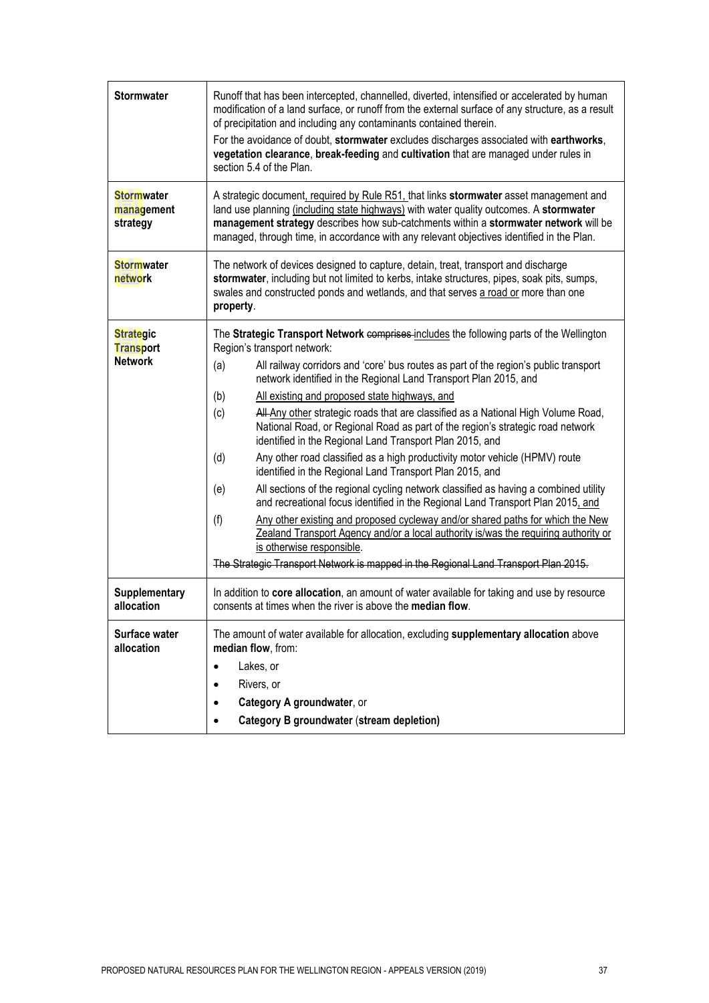| <b>Stormwater</b>                                      | Runoff that has been intercepted, channelled, diverted, intensified or accelerated by human<br>modification of a land surface, or runoff from the external surface of any structure, as a result<br>of precipitation and including any contaminants contained therein.<br>For the avoidance of doubt, stormwater excludes discharges associated with earthworks,<br>vegetation clearance, break-feeding and cultivation that are managed under rules in<br>section 5.4 of the Plan.                                                                                                                                                                                                                                                                                                                                                                                                                                                                                                                                                                                                                                                                                                                                                  |
|--------------------------------------------------------|--------------------------------------------------------------------------------------------------------------------------------------------------------------------------------------------------------------------------------------------------------------------------------------------------------------------------------------------------------------------------------------------------------------------------------------------------------------------------------------------------------------------------------------------------------------------------------------------------------------------------------------------------------------------------------------------------------------------------------------------------------------------------------------------------------------------------------------------------------------------------------------------------------------------------------------------------------------------------------------------------------------------------------------------------------------------------------------------------------------------------------------------------------------------------------------------------------------------------------------|
| <b>Stormwater</b><br>management<br>strategy            | A strategic document, required by Rule R51, that links stormwater asset management and<br>land use planning (including state highways) with water quality outcomes. A stormwater<br>management strategy describes how sub-catchments within a stormwater network will be<br>managed, through time, in accordance with any relevant objectives identified in the Plan.                                                                                                                                                                                                                                                                                                                                                                                                                                                                                                                                                                                                                                                                                                                                                                                                                                                                |
| <b>Stormwater</b><br>network                           | The network of devices designed to capture, detain, treat, transport and discharge<br>stormwater, including but not limited to kerbs, intake structures, pipes, soak pits, sumps,<br>swales and constructed ponds and wetlands, and that serves a road or more than one<br>property.                                                                                                                                                                                                                                                                                                                                                                                                                                                                                                                                                                                                                                                                                                                                                                                                                                                                                                                                                 |
| <b>Strategic</b><br><b>Transport</b><br><b>Network</b> | The Strategic Transport Network comprises includes the following parts of the Wellington<br>Region's transport network:<br>All railway corridors and 'core' bus routes as part of the region's public transport<br>(a)<br>network identified in the Regional Land Transport Plan 2015, and<br>All existing and proposed state highways, and<br>(b)<br>All Any other strategic roads that are classified as a National High Volume Road,<br>(c)<br>National Road, or Regional Road as part of the region's strategic road network<br>identified in the Regional Land Transport Plan 2015, and<br>Any other road classified as a high productivity motor vehicle (HPMV) route<br>(d)<br>identified in the Regional Land Transport Plan 2015, and<br>All sections of the regional cycling network classified as having a combined utility<br>(e)<br>and recreational focus identified in the Regional Land Transport Plan 2015, and<br>Any other existing and proposed cycleway and/or shared paths for which the New<br>(f)<br>Zealand Transport Agency and/or a local authority is/was the requiring authority or<br>is otherwise responsible.<br>The Strategic Transport Network is mapped in the Regional Land Transport Plan 2015. |
| <b>Supplementary</b><br>allocation                     | In addition to core allocation, an amount of water available for taking and use by resource<br>consents at times when the river is above the median flow.                                                                                                                                                                                                                                                                                                                                                                                                                                                                                                                                                                                                                                                                                                                                                                                                                                                                                                                                                                                                                                                                            |
| Surface water<br>allocation                            | The amount of water available for allocation, excluding supplementary allocation above<br>median flow, from:<br>Lakes, or<br>Rivers, or<br>Category A groundwater, or<br>Category B groundwater (stream depletion)                                                                                                                                                                                                                                                                                                                                                                                                                                                                                                                                                                                                                                                                                                                                                                                                                                                                                                                                                                                                                   |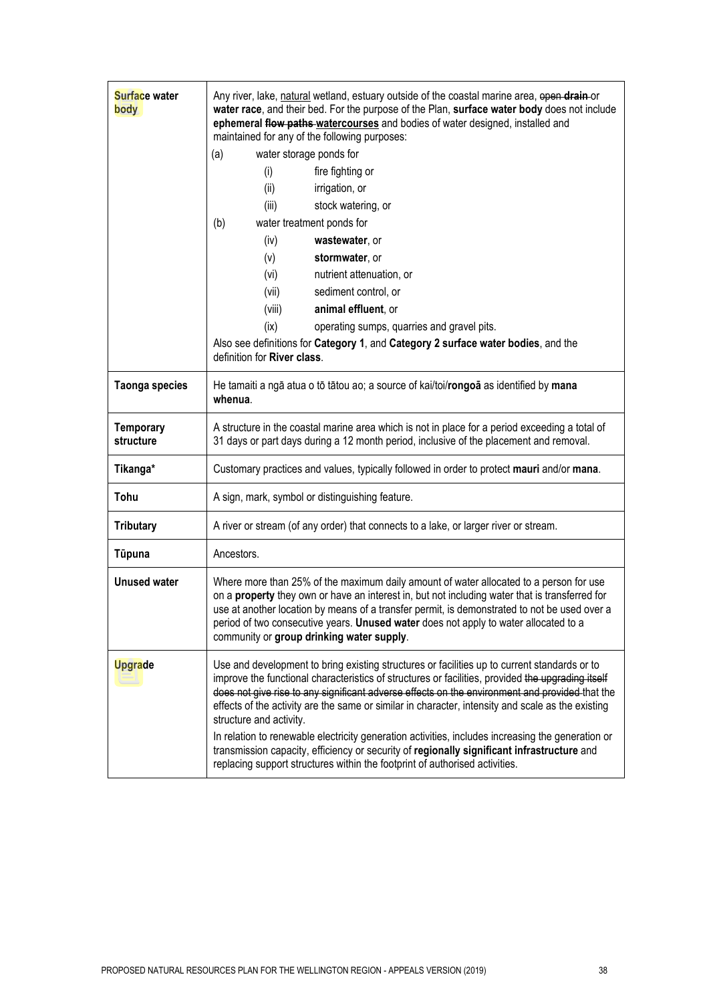| Surface water<br>body         | Any river, lake, natural wetland, estuary outside of the coastal marine area, open drain or<br>water race, and their bed. For the purpose of the Plan, surface water body does not include<br>ephemeral flow paths watercourses and bodies of water designed, installed and<br>maintained for any of the following purposes:<br>water storage ponds for<br>(a)<br>fire fighting or<br>(i)<br>(ii)<br>irrigation, or<br>(iii)<br>stock watering, or<br>water treatment ponds for<br>(b)<br>(iv)<br>wastewater, or<br>stormwater, or<br>(v)<br>nutrient attenuation, or<br>(vi)<br>(vii)<br>sediment control, or |
|-------------------------------|----------------------------------------------------------------------------------------------------------------------------------------------------------------------------------------------------------------------------------------------------------------------------------------------------------------------------------------------------------------------------------------------------------------------------------------------------------------------------------------------------------------------------------------------------------------------------------------------------------------|
|                               | (viii)<br>animal effluent, or                                                                                                                                                                                                                                                                                                                                                                                                                                                                                                                                                                                  |
|                               | (ix)<br>operating sumps, quarries and gravel pits.<br>Also see definitions for Category 1, and Category 2 surface water bodies, and the<br>definition for River class.                                                                                                                                                                                                                                                                                                                                                                                                                                         |
| <b>Taonga species</b>         | He tamaiti a ngā atua o tō tātou ao; a source of kai/toi/rongoā as identified by mana<br>whenua.                                                                                                                                                                                                                                                                                                                                                                                                                                                                                                               |
| <b>Temporary</b><br>structure | A structure in the coastal marine area which is not in place for a period exceeding a total of<br>31 days or part days during a 12 month period, inclusive of the placement and removal.                                                                                                                                                                                                                                                                                                                                                                                                                       |
| Tikanga*                      | Customary practices and values, typically followed in order to protect mauri and/or mana.                                                                                                                                                                                                                                                                                                                                                                                                                                                                                                                      |
| Tohu                          | A sign, mark, symbol or distinguishing feature.                                                                                                                                                                                                                                                                                                                                                                                                                                                                                                                                                                |
| <b>Tributary</b>              | A river or stream (of any order) that connects to a lake, or larger river or stream.                                                                                                                                                                                                                                                                                                                                                                                                                                                                                                                           |
| Tūpuna                        | Ancestors.                                                                                                                                                                                                                                                                                                                                                                                                                                                                                                                                                                                                     |
| <b>Unused water</b>           | Where more than 25% of the maximum daily amount of water allocated to a person for use<br>on a property they own or have an interest in, but not including water that is transferred for<br>use at another location by means of a transfer permit, is demonstrated to not be used over a<br>period of two consecutive years. Unused water does not apply to water allocated to a<br>community or group drinking water supply.                                                                                                                                                                                  |
| Upgrade                       | Use and development to bring existing structures or facilities up to current standards or to<br>improve the functional characteristics of structures or facilities, provided the upgrading itself<br>does not give rise to any significant adverse effects on the environment and provided that the<br>effects of the activity are the same or similar in character, intensity and scale as the existing<br>structure and activity.                                                                                                                                                                            |
|                               | In relation to renewable electricity generation activities, includes increasing the generation or<br>transmission capacity, efficiency or security of regionally significant infrastructure and<br>replacing support structures within the footprint of authorised activities.                                                                                                                                                                                                                                                                                                                                 |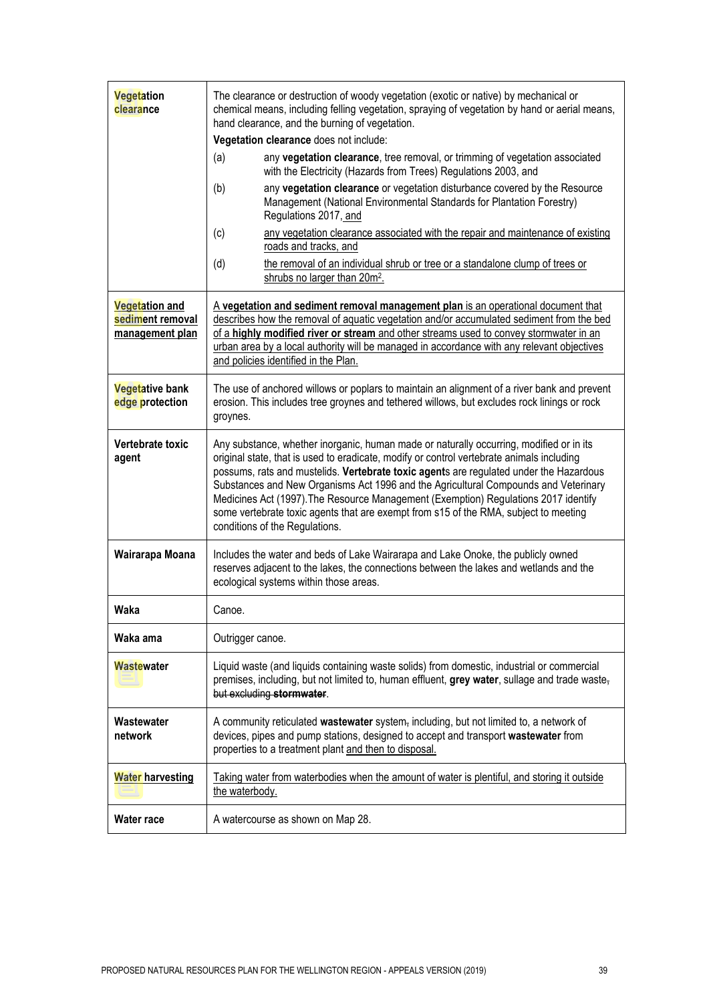| Vegetation<br>clearance                                      | The clearance or destruction of woody vegetation (exotic or native) by mechanical or<br>chemical means, including felling vegetation, spraying of vegetation by hand or aerial means,<br>hand clearance, and the burning of vegetation.                                                                                                                                                                                                                                                                                                                                                |
|--------------------------------------------------------------|----------------------------------------------------------------------------------------------------------------------------------------------------------------------------------------------------------------------------------------------------------------------------------------------------------------------------------------------------------------------------------------------------------------------------------------------------------------------------------------------------------------------------------------------------------------------------------------|
|                                                              | Vegetation clearance does not include:                                                                                                                                                                                                                                                                                                                                                                                                                                                                                                                                                 |
|                                                              | any vegetation clearance, tree removal, or trimming of vegetation associated<br>(a)<br>with the Electricity (Hazards from Trees) Regulations 2003, and                                                                                                                                                                                                                                                                                                                                                                                                                                 |
|                                                              | any vegetation clearance or vegetation disturbance covered by the Resource<br>(b)<br>Management (National Environmental Standards for Plantation Forestry)<br>Regulations 2017, and                                                                                                                                                                                                                                                                                                                                                                                                    |
|                                                              | any vegetation clearance associated with the repair and maintenance of existing<br>(c)<br>roads and tracks, and                                                                                                                                                                                                                                                                                                                                                                                                                                                                        |
|                                                              | the removal of an individual shrub or tree or a standalone clump of trees or<br>(d)<br>shrubs no larger than 20m <sup>2</sup> .                                                                                                                                                                                                                                                                                                                                                                                                                                                        |
| <b>Vegetation and</b><br>sediment removal<br>management plan | A vegetation and sediment removal management plan is an operational document that<br>describes how the removal of aquatic vegetation and/or accumulated sediment from the bed<br>of a highly modified river or stream and other streams used to convey stormwater in an<br>urban area by a local authority will be managed in accordance with any relevant objectives<br>and policies identified in the Plan.                                                                                                                                                                          |
| <b>Vegetative bank</b><br>edge protection                    | The use of anchored willows or poplars to maintain an alignment of a river bank and prevent<br>erosion. This includes tree groynes and tethered willows, but excludes rock linings or rock<br>groynes.                                                                                                                                                                                                                                                                                                                                                                                 |
| Vertebrate toxic<br>agent                                    | Any substance, whether inorganic, human made or naturally occurring, modified or in its<br>original state, that is used to eradicate, modify or control vertebrate animals including<br>possums, rats and mustelids. Vertebrate toxic agents are regulated under the Hazardous<br>Substances and New Organisms Act 1996 and the Agricultural Compounds and Veterinary<br>Medicines Act (1997). The Resource Management (Exemption) Regulations 2017 identify<br>some vertebrate toxic agents that are exempt from s15 of the RMA, subject to meeting<br>conditions of the Regulations. |
| Wairarapa Moana                                              | Includes the water and beds of Lake Wairarapa and Lake Onoke, the publicly owned<br>reserves adjacent to the lakes, the connections between the lakes and wetlands and the<br>ecological systems within those areas.                                                                                                                                                                                                                                                                                                                                                                   |
| Waka                                                         | Canoe.                                                                                                                                                                                                                                                                                                                                                                                                                                                                                                                                                                                 |
| Waka ama                                                     | Outrigger canoe.                                                                                                                                                                                                                                                                                                                                                                                                                                                                                                                                                                       |
| Wastewater                                                   | Liquid waste (and liquids containing waste solids) from domestic, industrial or commercial<br>premises, including, but not limited to, human effluent, grey water, sullage and trade waste,<br>but excluding stormwater.                                                                                                                                                                                                                                                                                                                                                               |
| Wastewater<br>network                                        | A community reticulated wastewater system, including, but not limited to, a network of<br>devices, pipes and pump stations, designed to accept and transport wastewater from<br>properties to a treatment plant and then to disposal.                                                                                                                                                                                                                                                                                                                                                  |
| <b>Water harvesting</b>                                      | Taking water from waterbodies when the amount of water is plentiful, and storing it outside<br>the waterbody.                                                                                                                                                                                                                                                                                                                                                                                                                                                                          |
| <b>Water race</b>                                            | A watercourse as shown on Map 28.                                                                                                                                                                                                                                                                                                                                                                                                                                                                                                                                                      |